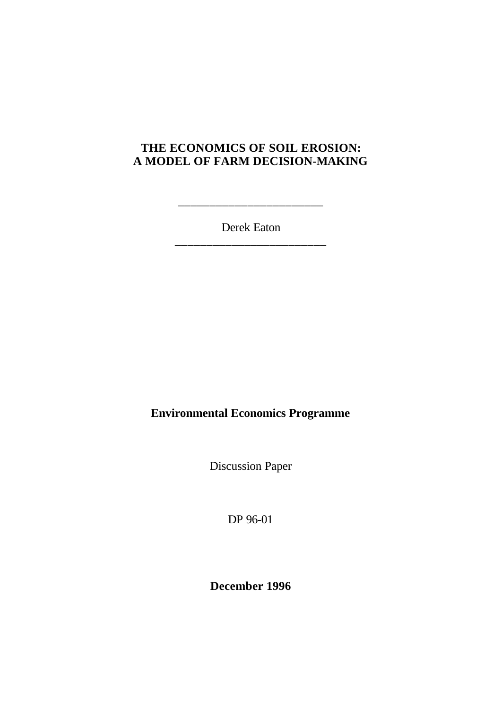# **THE ECONOMICS OF SOIL EROSION: A MODEL OF FARM DECISION-MAKING**

Derek Eaton \_\_\_\_\_\_\_\_\_\_\_\_\_\_\_\_\_\_\_\_\_\_\_\_

\_\_\_\_\_\_\_\_\_\_\_\_\_\_\_\_\_\_\_\_\_\_\_

**Environmental Economics Programme**

Discussion Paper

DP 96-01

**December 1996**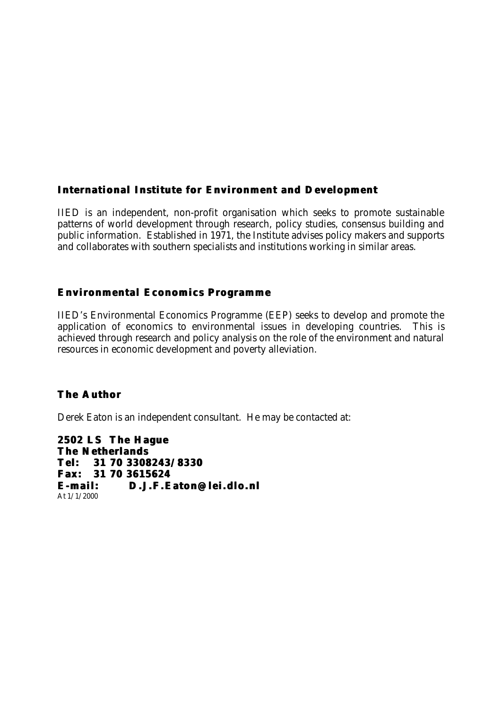### **International Institute for Environment and Development**

IIED is an independent, non-profit organisation which seeks to promote sustainable patterns of world development through research, policy studies, consensus building and public information. Established in 1971, the Institute advises policy makers and supports and collaborates with southern specialists and institutions working in similar areas.

# **Environmental Economics Programme**

IIED's Environmental Economics Programme (EEP) seeks to develop and promote the application of economics to environmental issues in developing countries. This is achieved through research and policy analysis on the role of the environment and natural resources in economic development and poverty alleviation.

### **The Author**

Derek Eaton is an independent consultant. He may be contacted at:

**2502 LS The Hague The Netherlands Tel: 31 70 3308243/8330 Fax: 31 70 3615624 E-mail: D.J.F.Eaton@lei.dlo.nl** At 1/1/2000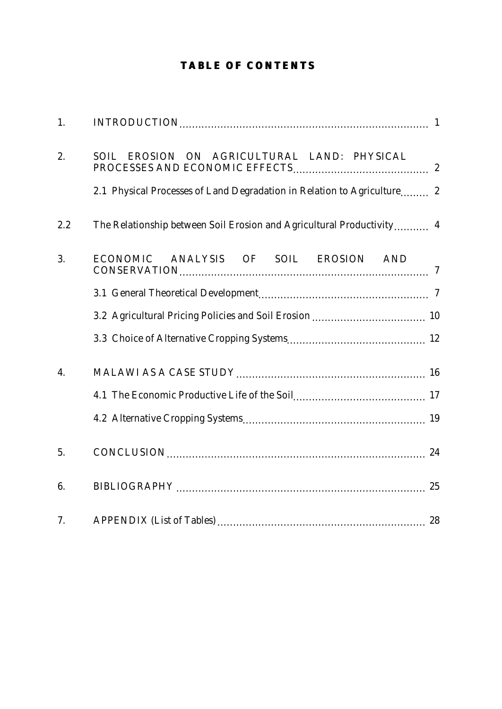# **TABLE OF CONTENTS**

| 1.  |                                                                         |
|-----|-------------------------------------------------------------------------|
| 2.  | SOIL EROSION ON AGRICULTURAL LAND: PHYSICAL                             |
|     | 2.1 Physical Processes of Land Degradation in Relation to Agriculture 2 |
| 2.2 | The Relationship between Soil Erosion and Agricultural Productivity 4   |
| 3.  | ECONOMIC ANALYSIS OF SOIL EROSION AND                                   |
|     |                                                                         |
|     |                                                                         |
|     |                                                                         |
| 4.  |                                                                         |
|     |                                                                         |
|     |                                                                         |
| 5.  |                                                                         |
| 6.  |                                                                         |
| 7.  |                                                                         |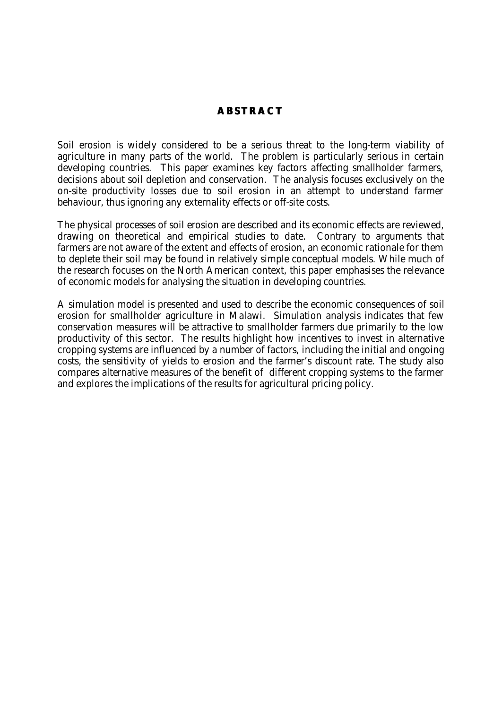### **ABSTRACT**

Soil erosion is widely considered to be a serious threat to the long-term viability of agriculture in many parts of the world. The problem is particularly serious in certain developing countries. This paper examines key factors affecting smallholder farmers, decisions about soil depletion and conservation. The analysis focuses exclusively on the on-site productivity losses due to soil erosion in an attempt to understand farmer behaviour, thus ignoring any externality effects or off-site costs.

The physical processes of soil erosion are described and its economic effects are reviewed, drawing on theoretical and empirical studies to date. Contrary to arguments that farmers are not aware of the extent and effects of erosion, an economic rationale for them to deplete their soil may be found in relatively simple conceptual models. While much of the research focuses on the North American context, this paper emphasises the relevance of economic models for analysing the situation in developing countries.

A simulation model is presented and used to describe the economic consequences of soil erosion for smallholder agriculture in Malawi. Simulation analysis indicates that few conservation measures will be attractive to smallholder farmers due primarily to the low productivity of this sector. The results highlight how incentives to invest in alternative cropping systems are influenced by a number of factors, including the initial and ongoing costs, the sensitivity of yields to erosion and the farmer's discount rate. The study also compares alternative measures of the benefit of different cropping systems to the farmer and explores the implications of the results for agricultural pricing policy.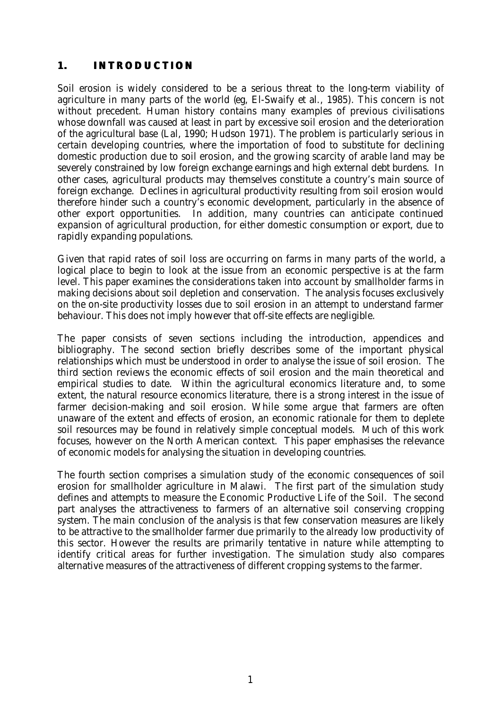## **1. INTRODUCTION**

Soil erosion is widely considered to be a serious threat to the long-term viability of agriculture in many parts of the world (*eg*, El-Swaify *et al.*, 1985). This concern is not without precedent. Human history contains many examples of previous civilisations whose downfall was caused at least in part by excessive soil erosion and the deterioration of the agricultural base (Lal, 1990; Hudson 1971). The problem is particularly serious in certain developing countries, where the importation of food to substitute for declining domestic production due to soil erosion, and the growing scarcity of arable land may be severely constrained by low foreign exchange earnings and high external debt burdens. In other cases, agricultural products may themselves constitute a country's main source of foreign exchange. Declines in agricultural productivity resulting from soil erosion would therefore hinder such a country's economic development, particularly in the absence of other export opportunities. In addition, many countries can anticipate continued expansion of agricultural production, for either domestic consumption or export, due to rapidly expanding populations.

Given that rapid rates of soil loss are occurring on farms in many parts of the world, a logical place to begin to look at the issue from an economic perspective is at the farm level. This paper examines the considerations taken into account by smallholder farms in making decisions about soil depletion and conservation. The analysis focuses exclusively on the on-site productivity losses due to soil erosion in an attempt to understand farmer behaviour. This does not imply however that off-site effects are negligible.

The paper consists of seven sections including the introduction, appendices and bibliography. The second section briefly describes some of the important physical relationships which must be understood in order to analyse the issue of soil erosion. The third section reviews the economic effects of soil erosion and the main theoretical and empirical studies to date. Within the agricultural economics literature and, to some extent, the natural resource economics literature, there is a strong interest in the issue of farmer decision-making and soil erosion. While some argue that farmers are often unaware of the extent and effects of erosion, an economic rationale for them to deplete soil resources may be found in relatively simple conceptual models. Much of this work focuses, however on the North American context. This paper emphasises the relevance of economic models for analysing the situation in developing countries.

The fourth section comprises a simulation study of the economic consequences of soil erosion for smallholder agriculture in Malawi. The first part of the simulation study defines and attempts to measure the Economic Productive Life of the Soil. The second part analyses the attractiveness to farmers of an alternative soil conserving cropping system. The main conclusion of the analysis is that few conservation measures are likely to be attractive to the smallholder farmer due primarily to the already low productivity of this sector. However the results are primarily tentative in nature while attempting to identify critical areas for further investigation. The simulation study also compares alternative measures of the attractiveness of different cropping systems to the farmer.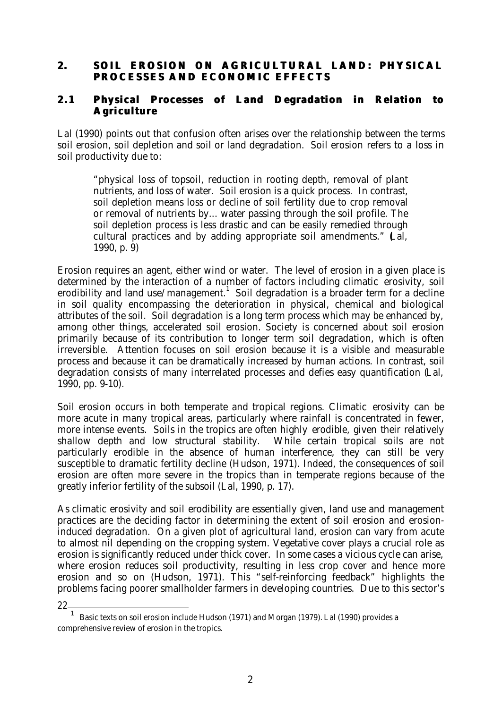### **2. SOIL EROSION ON AGRICULTURAL LAND: PHYSICAL PROCESSES AND ECONOMIC EFFECTS**

## **2.1 Physical Processes of Land Degradation in Relation to Agriculture**

Lal (1990) points out that confusion often arises over the relationship between the terms soil erosion, soil depletion and soil or land degradation. *Soil erosion* refers to a loss in soil productivity due to:

"physical loss of topsoil, reduction in rooting depth, removal of plant nutrients, and loss of water. Soil erosion is a quick process. In contrast, *soil depletion* means loss or decline of soil fertility due to crop removal or removal of nutrients by... water passing through the soil profile. The soil depletion process is less drastic and can be easily remedied through cultural practices and by adding appropriate soil amendments." (Lal, 1990, p. 9)

Erosion requires an agent, either wind or water. The level of erosion in a given place is determined by the interaction of a number of factors including climatic erosivity, soil erodibility and land use/management.<sup>1</sup> Soil degradation is a broader term for a decline in soil quality encompassing the deterioration in physical, chemical and biological attributes of the soil. Soil degradation is a long term process which may be enhanced by, among other things, accelerated soil erosion. Society is concerned about soil erosion primarily because of its contribution to longer term soil degradation, which is often irreversible. Attention focuses on soil erosion because it is a visible and measurable process and because it can be dramatically increased by human actions. In contrast, soil degradation consists of many interrelated processes and defies easy quantification (Lal, 1990, pp. 9-10).

Soil erosion occurs in both temperate and tropical regions. Climatic erosivity can be more acute in many tropical areas, particularly where rainfall is concentrated in fewer, more intense events. Soils in the tropics are often highly erodible, given their relatively shallow depth and low structural stability. While certain tropical soils are not particularly erodible in the absence of human interference, they can still be very susceptible to dramatic fertility decline (Hudson, 1971). Indeed, the consequences of soil erosion are often more severe in the tropics than in temperate regions because of the greatly inferior fertility of the subsoil (Lal, 1990, p. 17).

As climatic erosivity and soil erodibility are essentially given, land use and management practices are the deciding factor in determining the extent of soil erosion and erosioninduced degradation. On a given plot of agricultural land, erosion can vary from acute to almost nil depending on the cropping system. Vegetative cover plays a crucial role as erosion is significantly reduced under thick cover. In some cases a vicious cycle can arise, where erosion reduces soil productivity, resulting in less crop cover and hence more erosion and so on (Hudson, 1971). This "self-reinforcing feedback" highlights the problems facing poorer smallholder farmers in developing countries. Due to this sector's

<sup>1</sup>Basic texts on soil erosion include Hudson (1971) and Morgan (1979). Lal (1990) provides a comprehensive review of erosion in the tropics.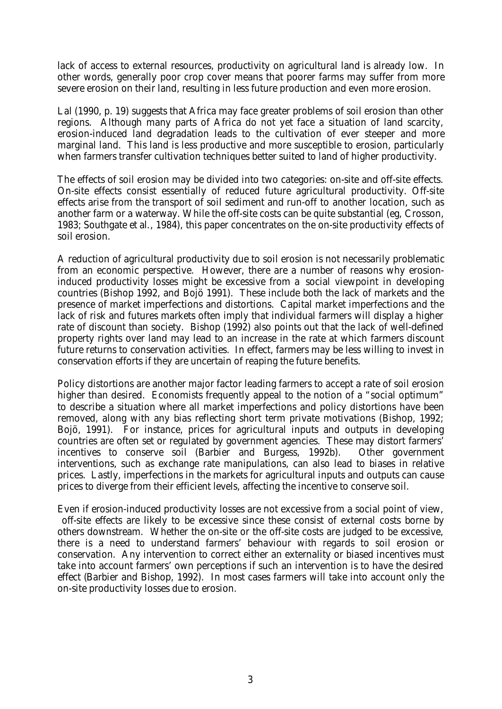lack of access to external resources, productivity on agricultural land is already low. In other words, generally poor crop cover means that poorer farms may suffer from more severe erosion on their land, resulting in less future production and even more erosion.

Lal (1990, p. 19) suggests that Africa may face greater problems of soil erosion than other regions. Although many parts of Africa do not yet face a situation of land scarcity, erosion-induced land degradation leads to the cultivation of ever steeper and more marginal land. This land is less productive and more susceptible to erosion, particularly when farmers transfer cultivation techniques better suited to land of higher productivity.

The effects of soil erosion may be divided into two categories: on-site and off-site effects. On-site effects consist essentially of reduced future agricultural productivity. Off-site effects arise from the transport of soil sediment and run-off to another location, such as another farm or a waterway. While the off-site costs can be quite substantial (*eg*, Crosson, 1983; Southgate *et al.*, 1984), this paper concentrates on the on-site productivity effects of soil erosion.

A reduction of agricultural productivity due to soil erosion is not necessarily problematic from an economic perspective. However, there are a number of reasons why erosioninduced productivity losses might be excessive from a *social* viewpoint in developing countries (Bishop 1992, and Bojö 1991). These include both the lack of markets and the presence of market imperfections and distortions. Capital market imperfections and the lack of risk and futures markets often imply that individual farmers will display a higher rate of discount than society. Bishop (1992) also points out that the lack of well-defined property rights over land may lead to an increase in the rate at which farmers discount future returns to conservation activities. In effect, farmers may be less willing to invest in conservation efforts if they are uncertain of reaping the future benefits.

Policy distortions are another major factor leading farmers to accept a rate of soil erosion higher than desired. Economists frequently appeal to the notion of a "social optimum" to describe a situation where all market imperfections and policy distortions have been removed, along with any bias reflecting short term private motivations (Bishop, 1992; Bojö, 1991). For instance, prices for agricultural inputs and outputs in developing countries are often set or regulated by government agencies. These may distort farmers' incentives to conserve soil (Barbier and Burgess, 1992b). Other government interventions, such as exchange rate manipulations, can also lead to biases in relative prices. Lastly, imperfections in the markets for agricultural inputs and outputs can cause prices to diverge from their efficient levels, affecting the incentive to conserve soil.

Even if erosion-induced productivity losses are not excessive from a social point of view, off-site effects are likely to be excessive since these consist of external costs borne by others downstream. Whether the on-site or the off-site costs are judged to be excessive, there is a need to understand farmers' behaviour with regards to soil erosion or conservation. Any intervention to correct either an externality or biased incentives must take into account farmers' own perceptions if such an intervention is to have the desired effect (Barbier and Bishop, 1992). In most cases farmers will take into account only the on-site productivity losses due to erosion.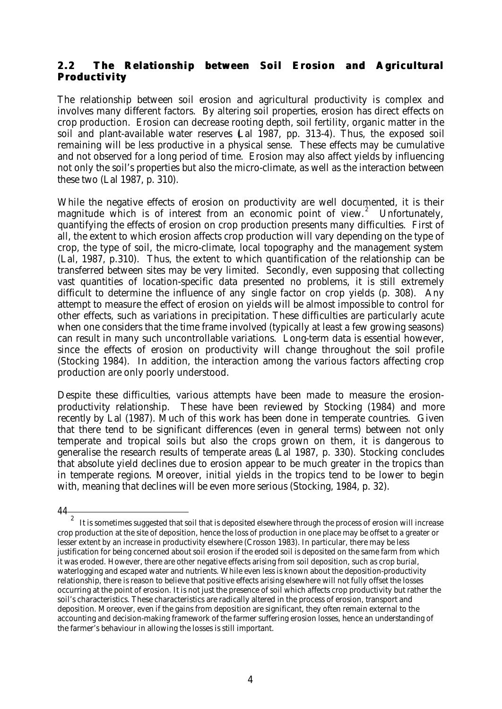## **2.2 The Relationship between Soil Erosion and Agricultural Productivity**

The relationship between soil erosion and agricultural productivity is complex and involves many different factors. By altering soil properties, erosion has direct effects on crop production. Erosion can decrease rooting depth, soil fertility, organic matter in the soil and plant-available water reserves (Lal 1987, pp. 313-4). Thus, the exposed soil remaining will be less productive in a physical sense. These effects may be cumulative and not observed for a long period of time. Erosion may also affect yields by influencing not only the soil's properties but also the micro-climate, as well as the interaction between these two (Lal 1987, p. 310).

While the negative effects of erosion on productivity are well documented, it is their magnitude which is of interest from an economic point of view.<sup>2</sup> Unfortunately, quantifying the effects of erosion on crop production presents many difficulties. First of all, the extent to which erosion affects crop production will vary depending on the type of crop, the type of soil, the micro-climate, local topography and the management system (Lal, 1987, p.310). Thus, the extent to which quantification of the relationship can be transferred between sites may be very limited. Secondly, even supposing that collecting vast quantities of location-specific data presented no problems, it is still extremely difficult to determine the influence of any *single* factor on crop yields (p. 308). Any attempt to measure the effect of erosion on yields will be almost impossible to control for other effects, such as variations in precipitation. These difficulties are particularly acute when one considers that the time frame involved (typically at least a few growing seasons) can result in many such uncontrollable variations. Long-term data is essential however, since the effects of erosion on productivity will change throughout the soil profile (Stocking 1984). In addition, the interaction among the various factors affecting crop production are only poorly understood.

Despite these difficulties, various attempts have been made to measure the erosionproductivity relationship. These have been reviewed by Stocking (1984) and more recently by Lal (1987). Much of this work has been done in temperate countries. Given that there tend to be significant differences (even in general terms) between not only temperate and tropical soils but also the crops grown on them, it is dangerous to generalise the research results of temperate areas (Lal 1987, p. 330). Stocking concludes that absolute yield declines due to erosion appear to be much greater in the tropics than in temperate regions. Moreover, initial yields in the tropics tend to be lower to begin with, meaning that declines will be even more serious (Stocking, 1984, p. 32).

<sup>2</sup>It is sometimes suggested that soil that is deposited elsewhere through the process of erosion will increase crop production at the site of deposition, hence the loss of production in one place may be offset to a greater or lesser extent by an increase in productivity elsewhere (Crosson 1983). In particular, there may be less justification for being concerned about soil erosion if the eroded soil is deposited on the same farm from which it was eroded. However, there are other negative effects arising from soil deposition, such as crop burial, waterlogging and escaped water and nutrients. While even less is known about the deposition-productivity relationship, there is reason to believe that positive effects arising elsewhere will not fully offset the losses occurring at the point of erosion. It is not just the presence of soil which affects crop productivity but rather the soil's characteristics. These characteristics are radically altered in the process of erosion, transport and deposition. Moreover, even if the gains from deposition are significant, they often remain external to the accounting and decision-making framework of the farmer suffering erosion losses, hence an understanding of the farmer's behaviour in allowing the losses is still important.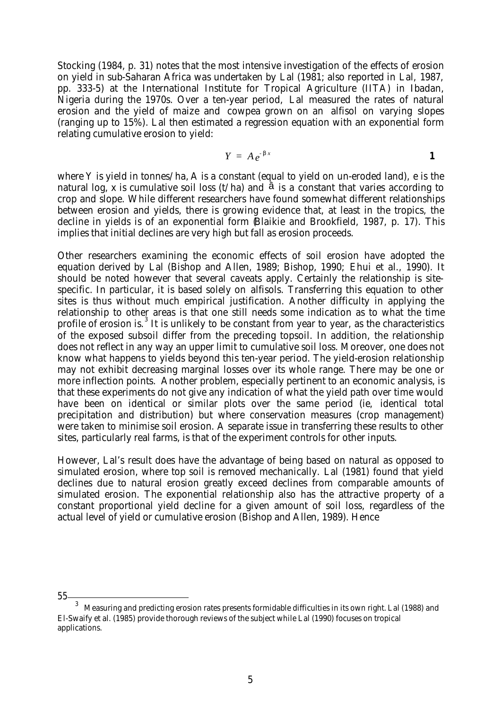Stocking (1984, p. 31) notes that the most intensive investigation of the effects of erosion on yield in sub-Saharan Africa was undertaken by Lal (1981; also reported in Lal, 1987, pp. 333-5) at the International Institute for Tropical Agriculture (IITA) in Ibadan, Nigeria during the 1970s. Over a ten-year period, Lal measured the rates of natural erosion and the yield of maize and cowpea grown on an alfisol on varying slopes (ranging up to 15%). Lal then estimated a regression equation with an exponential form relating cumulative erosion to yield:

$$
Y = Ae^{-bx}
$$

where *Y* is yield in tonnes/ha, *A* is a constant (equal to yield on un-eroded land), *e* is the natural log, x is cumulative soil loss  $(t/ha)$  and  $\hat{a}$  is a constant that varies according to crop and slope. While different researchers have found somewhat different relationships between erosion and yields, there is growing evidence that, at least in the tropics, the decline in yields is of an exponential form (Blaikie and Brookfield, 1987, p. 17). This implies that initial declines are very high but fall as erosion proceeds.

Other researchers examining the economic effects of soil erosion have adopted the equation derived by Lal (Bishop and Allen, 1989; Bishop, 1990; Ehui *et al.,* 1990). It should be noted however that several caveats apply. Certainly the relationship is sitespecific. In particular, it is based solely on alfisols. Transferring this equation to other sites is thus without much empirical justification. Another difficulty in applying the relationship to other areas is that one still needs some indication as to what the time profile of erosion is.<sup>3</sup> It is unlikely to be constant from year to year, as the characteristics of the exposed subsoil differ from the preceding topsoil. In addition, the relationship does not reflect in any way an upper limit to cumulative soil loss. Moreover, one does not know what happens to yields beyond this ten-year period. The yield-erosion relationship may not exhibit decreasing marginal losses over its whole range. There may be one or more inflection points. Another problem, especially pertinent to an economic analysis, is that these experiments do not give any indication of what the yield path over time would have been on identical or similar plots over the same period (*ie,* identical total precipitation and distribution) but where conservation measures (crop management) were taken to minimise soil erosion. A separate issue in transferring these results to other sites, particularly real farms, is that of the experiment controls for other inputs.

However, Lal's result does have the advantage of being based on natural as opposed to simulated erosion, where top soil is removed mechanically. Lal (1981) found that yield declines due to natural erosion greatly exceed declines from comparable amounts of simulated erosion. The exponential relationship also has the attractive property of a constant proportional yield decline for a given amount of soil loss, regardless of the actual level of yield or cumulative erosion (Bishop and Allen, 1989). Hence

<sup>55</sup> 

<sup>3</sup>Measuring and predicting erosion rates presents formidable difficulties in its own right. Lal (1988) and El-Swaify *et al.* (1985) provide thorough reviews of the subject while Lal (1990) focuses on tropical applications.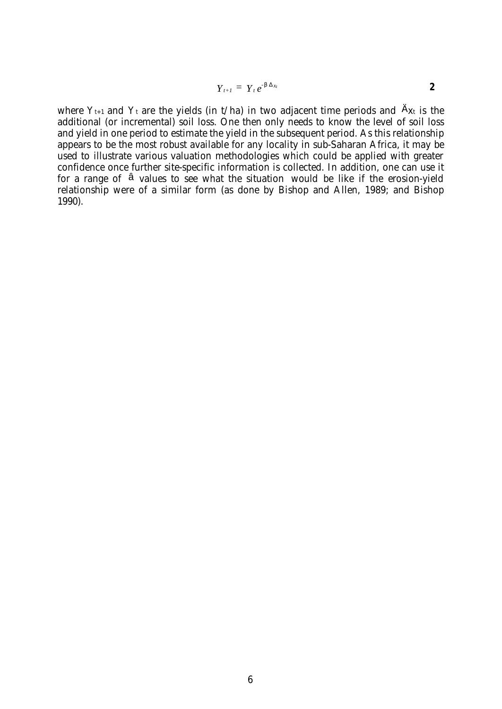$$
Y_{t+1} = Y_t e^{-b \Delta x_t}
$$

where  $Y_{t+1}$  and  $Y_t$  are the yields (in t/ha) in two adjacent time periods and  $\ddot{A}_{X_t}$  is the additional (or incremental) soil loss. One then only needs to know the level of soil loss and yield in one period to estimate the yield in the subsequent period. As this relationship appears to be the most robust available for any locality in sub-Saharan Africa, it may be used to illustrate various valuation methodologies which could be applied with greater confidence once further site-specific information is collected. In addition, one can use it for a range of â values to see what the situation *would* be like if the erosion-yield relationship were of a similar form (as done by Bishop and Allen, 1989; and Bishop 1990).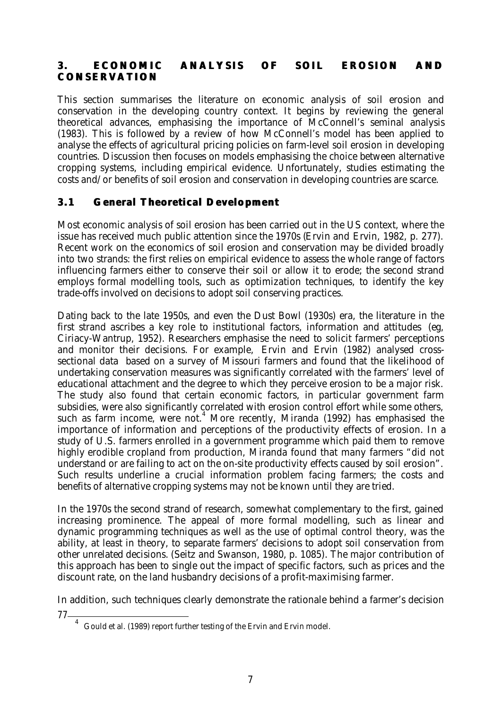### **3. ECONOMIC ANALYSIS OF SOIL EROSION AND CONSERVATION**

This section summarises the literature on economic analysis of soil erosion and conservation in the developing country context. It begins by reviewing the general theoretical advances, emphasising the importance of McConnell's seminal analysis (1983). This is followed by a review of how McConnell's model has been applied to analyse the effects of agricultural pricing policies on farm-level soil erosion in developing countries. Discussion then focuses on models emphasising the choice between alternative cropping systems, including empirical evidence. Unfortunately, studies estimating the costs and/or benefits of soil erosion and conservation in developing countries are scarce.

# **3.1 General Theoretical Develo pment**

Most economic analysis of soil erosion has been carried out in the US context, where the issue has received much public attention since the 1970s (Ervin and Ervin, 1982, p. 277). Recent work on the economics of soil erosion and conservation may be divided broadly into two strands: the first relies on empirical evidence to assess the whole range of factors influencing farmers either to conserve their soil or allow it to erode; the second strand employs formal modelling tools, such as optimization techniques, to identify the key trade-offs involved on decisions to adopt soil conserving practices.

Dating back to the late 1950s, and even the Dust Bowl (1930s) era, the literature in the first strand ascribes a key role to institutional factors, information and attitudes *(eg*, Ciriacy-Wantrup, 1952). Researchers emphasise the need to solicit farmers' perceptions and monitor their decisions. For example, Ervin and Ervin (1982) analysed crosssectional data based on a survey of Missouri farmers and found that the likelihood of undertaking conservation measures was significantly correlated with the farmers' level of educational attachment and the degree to which they perceive erosion to be a major risk. The study also found that certain economic factors, in particular government farm subsidies, were also significantly correlated with erosion control effort while some others, such as farm income, were not.<sup>4</sup> More recently, Miranda (1992) has emphasised the importance of information and perceptions of the productivity effects of erosion. In a study of U.S. farmers enrolled in a government programme which paid them to remove highly erodible cropland from production, Miranda found that many farmers "did not understand or are failing to act on the on-site productivity effects caused by soil erosion". Such results underline a crucial information problem facing farmers; the costs and benefits of alternative cropping systems may not be known until they are tried.

In the 1970s the second strand of research, somewhat complementary to the first, gained increasing prominence. The appeal of more formal modelling, such as linear and dynamic programming techniques as well as the use of optimal control theory, was the ability, at least in theory, to separate farmers' decisions to adopt soil conservation from other unrelated decisions. (Seitz and Swanson, 1980, p. 1085). The major contribution of this approach has been to single out the impact of specific factors, such as prices and the discount rate, on the land husbandry decisions of a profit-maximising farmer.

In addition, such techniques clearly demonstrate the rationale behind a farmer's decision

<sup>4</sup>Gould *et al.* (1989) report further testing of the Ervin and Ervin model.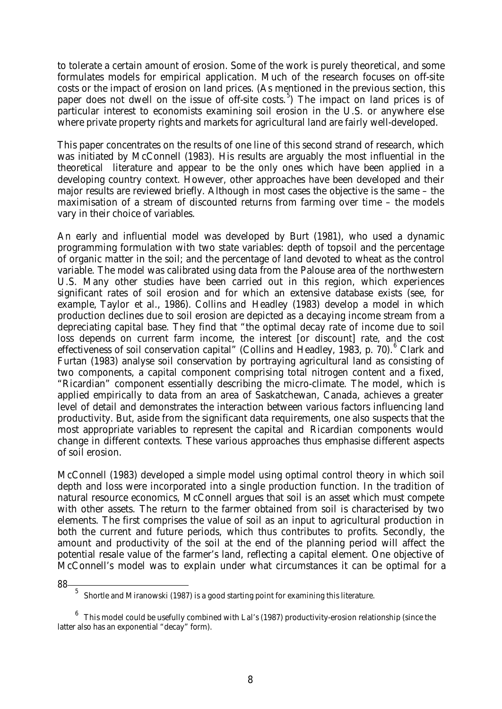to tolerate a certain amount of erosion. Some of the work is purely theoretical, and some formulates models for empirical application. Much of the research focuses on off-site costs or the impact of erosion on land prices. (As mentioned in the previous section, this paper does not dwell on the issue of off-site costs.<sup>5</sup>) The impact on land prices is of particular interest to economists examining soil erosion in the U.S. or anywhere else where private property rights and markets for agricultural land are fairly well-developed.

This paper concentrates on the results of one line of this second strand of research, which was initiated by McConnell (1983). His results are arguably the most influential in the theoretical literature and appear to be the only ones which have been applied in a developing country context. However, other approaches have been developed and their major results are reviewed briefly. Although in most cases the objective is the same – the maximisation of a stream of discounted returns from farming over time – the models vary in their choice of variables.

An early and influential model was developed by Burt (1981), who used a dynamic programming formulation with two state variables: depth of topsoil and the percentage of organic matter in the soil; and the percentage of land devoted to wheat as the control variable. The model was calibrated using data from the Palouse area of the northwestern U.S. Many other studies have been carried out in this region, which experiences significant rates of soil erosion and for which an extensive database exists (see, for example, Taylor *et al.,* 1986). Collins and Headley (1983) develop a model in which production declines due to soil erosion are depicted as a decaying income stream from a depreciating capital base. They find that "the optimal decay rate of income due to soil loss depends on current farm income, the interest [or discount] rate, and the cost effectiveness of soil conservation capital" (Collins and Headley, 1983, p. 70).<sup>6</sup> Clark and Furtan (1983) analyse soil conservation by portraying agricultural land as consisting of two components, a capital component comprising total nitrogen content and a fixed, "Ricardian" component essentially describing the micro-climate. The model, which is applied empirically to data from an area of Saskatchewan, Canada, achieves a greater level of detail and demonstrates the interaction between various factors influencing land productivity. But, aside from the significant data requirements, one also suspects that the most appropriate variables to represent the capital and Ricardian components would change in different contexts. These various approaches thus emphasise different aspects of soil erosion.

McConnell (1983) developed a simple model using optimal control theory in which soil depth and loss were incorporated into a single production function. In the tradition of natural resource economics, McConnell argues that soil is an asset which must compete with other assets. The return to the farmer obtained from soil is characterised by two elements. The first comprises the value of soil as an input to agricultural production in both the current and future periods, which thus contributes to profits. Secondly, the amount and productivity of the soil at the end of the planning period will affect the potential resale value of the farmer's land, reflecting a capital element. One objective of McConnell's model was to explain under what circumstances it can be optimal for a

<sup>5</sup>Shortle and Miranowski (1987) is a good starting point for examining this literature.

 $6$  This model could be usefully combined with Lal's (1987) productivity-erosion relationship (since the latter also has an exponential "decay" form).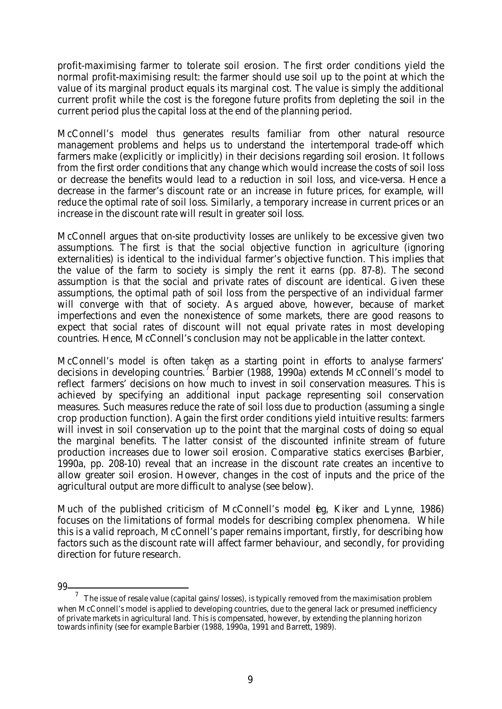profit-maximising farmer to tolerate soil erosion. The first order conditions yield the normal profit-maximising result: the farmer should use soil up to the point at which the value of its marginal product equals its marginal cost. The value is simply the additional current profit while the cost is the foregone future profits from depleting the soil in the current period plus the capital loss at the end of the planning period.

McConnell's model thus generates results familiar from other natural resource management problems and helps us to understand the intertemporal trade-off which farmers make (explicitly or implicitly) in their decisions regarding soil erosion. It follows from the first order conditions that any change which would increase the costs of soil loss or decrease the benefits would lead to a reduction in soil loss, and vice-versa. Hence a decrease in the farmer's discount rate or an increase in future prices, for example, will reduce the optimal rate of soil loss. Similarly, a temporary increase in current prices or an increase in the discount rate will result in greater soil loss.

McConnell argues that on-site productivity losses are unlikely to be excessive given two assumptions. The first is that the social objective function in agriculture (ignoring externalities) is identical to the individual farmer's objective function. This implies that the value of the farm to society is simply the rent it earns (pp. 87-8). The second assumption is that the social and private rates of discount are identical. Given these assumptions, the optimal path of soil loss from the perspective of an individual farmer will converge with that of society. As argued above, however, because of market imperfections and even the nonexistence of some markets, there are good reasons to expect that social rates of discount will not equal private rates in most developing countries. Hence, McConnell's conclusion may not be applicable in the latter context.

McConnell's model is often taken as a starting point in efforts to analyse farmers' decisions in developing countries.<sup>7</sup> Barbier (1988, 1990a) extends McConnell's model to reflect farmers' decisions on how much to invest in soil conservation measures. This is achieved by specifying an additional input package representing soil conservation measures. Such measures reduce the rate of soil loss due to production (assuming a single crop production function). Again the first order conditions yield intuitive results: farmers will invest in soil conservation up to the point that the marginal costs of doing so equal the marginal benefits. The latter consist of the discounted infinite stream of future production increases due to lower soil erosion. Comparative statics exercises (Barbier, 1990a, pp. 208-10) reveal that an increase in the discount rate creates an incentive to allow greater soil erosion. However, changes in the cost of inputs and the price of the agricultural output are more difficult to analyse (see below).

Much of the published criticism of McConnell's model (*eg*, Kiker and Lynne, 1986) focuses on the limitations of formal models for describing complex phenomena. While this is a valid reproach, McConnell's paper remains important, firstly, for describing how factors such as the discount rate will affect farmer behaviour, and secondly, for providing direction for future research.

<sup>7</sup>The issue of resale value (capital gains/losses), is typically removed from the maximisation problem when McConnell's model is applied to developing countries, due to the general lack or presumed inefficiency of private markets in agricultural land. This is compensated, however, by extending the planning horizon towards infinity (see for example Barbier (1988, 1990a, 1991 and Barrett, 1989).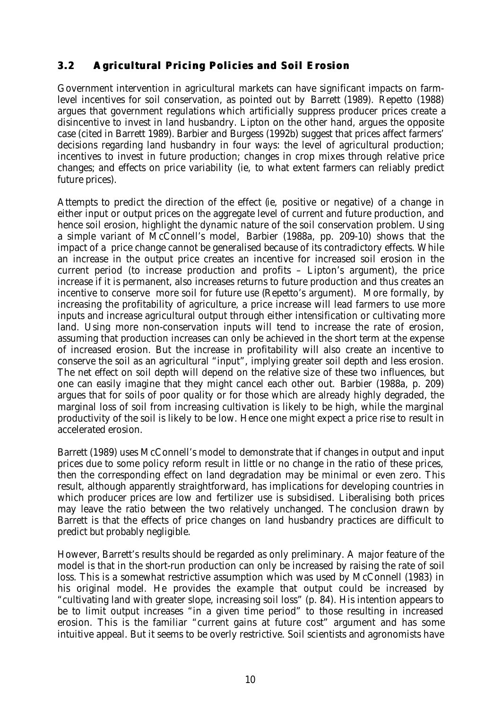# **3.2 Agricultural Pricing Policies and Soil Erosion**

Government intervention in agricultural markets can have significant impacts on farmlevel incentives for soil conservation, as pointed out by Barrett (1989). Repetto (1988) argues that government regulations which artificially suppress producer prices create a disincentive to invest in land husbandry. Lipton on the other hand, argues the opposite case (cited in Barrett 1989). Barbier and Burgess (1992b) suggest that prices affect farmers' decisions regarding land husbandry in four ways: the level of agricultural production; incentives to invest in future production; changes in crop mixes through relative price changes; and effects on price variability *(ie,* to what extent farmers can reliably predict future prices).

Attempts to predict the direction of the effect (*ie,* positive or negative) of a change in either input or output prices on the aggregate level of current and future production, and hence soil erosion, highlight the dynamic nature of the soil conservation problem. Using a simple variant of McConnell's model, Barbier (1988a, pp. 209-10) shows that the impact of a price change cannot be generalised because of its contradictory effects. While an increase in the output price creates an incentive for increased soil erosion in the current period (to increase production and profits – Lipton's argument), the price increase if it is permanent, also increases returns to future production and thus creates an incentive to conserve more soil for future use (Repetto's argument). More formally, by increasing the profitability of agriculture, a price increase will lead farmers to use more inputs and increase agricultural output through either intensification or cultivating more land. Using more non-conservation inputs will tend to increase the rate of erosion, assuming that production increases can only be achieved in the short term at the expense of increased erosion. But the increase in profitability will also create an incentive to conserve the soil as an agricultural "input", implying greater soil depth and less erosion. The net effect on soil depth will depend on the relative size of these two influences, but one can easily imagine that they might cancel each other out. Barbier (1988a, p. 209) argues that for soils of poor quality or for those which are already highly degraded, the marginal loss of soil from increasing cultivation is likely to be high, while the marginal productivity of the soil is likely to be low. Hence one might expect a price rise to result in accelerated erosion.

Barrett (1989) uses McConnell's model to demonstrate that if changes in output and input prices due to some policy reform result in little or no change in the ratio of these prices, then the corresponding effect on land degradation may be minimal or even zero. This result, although apparently straightforward, has implications for developing countries in which producer prices are low and fertilizer use is subsidised. Liberalising both prices may leave the ratio between the two relatively unchanged. The conclusion drawn by Barrett is that the effects of price changes on land husbandry practices are difficult to predict but probably negligible.

However, Barrett's results should be regarded as only preliminary. A major feature of the model is that in the short-run production can only be increased by raising the rate of soil loss. This is a somewhat restrictive assumption which was used by McConnell (1983) in his original model. He provides the example that output could be increased by "cultivating land with greater slope, increasing soil loss" (p. 84). His intention appears to be to limit output increases "in a given time period" to those resulting in increased erosion. This is the familiar "current gains at future cost" argument and has some intuitive appeal. But it seems to be overly restrictive. Soil scientists and agronomists have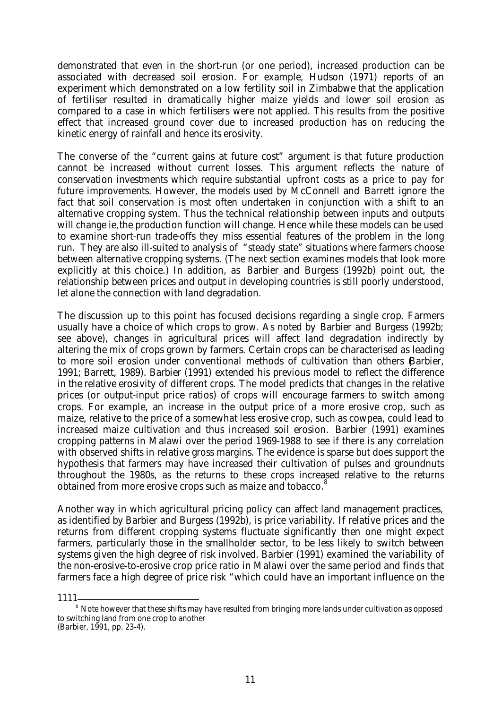demonstrated that even in the short-run (or one period), increased production can be associated with decreased soil erosion. For example, Hudson (1971) reports of an experiment which demonstrated on a low fertility soil in Zimbabwe that the application of fertiliser resulted in dramatically higher maize yields and lower soil erosion as compared to a case in which fertilisers were not applied. This results from the positive effect that increased ground cover due to increased production has on reducing the kinetic energy of rainfall and hence its erosivity.

The converse of the "current gains at future cost" argument is that future production cannot be increased without current losses. This argument reflects the nature of conservation investments which require substantial upfront costs as a price to pay for future improvements. However, the models used by McConnell and Barrett ignore the fact that soil conservation is most often undertaken in conjunction with a shift to an alternative cropping system. Thus the technical relationship between inputs and outputs will change *ie,*the production function will change. Hence while these models can be used to examine short-run trade-offs they miss essential features of the problem in the long run. They are also ill-suited to analysis of "steady state" situations where farmers choose between alternative cropping systems. (The next section examines models that look more explicitly at this choice.) In addition, as Barbier and Burgess (1992b) point out, the relationship between prices and output in developing countries is still poorly understood, let alone the connection with land degradation.

The discussion up to this point has focused decisions regarding a single crop. Farmers usually have a choice of which crops to grow. As noted by Barbier and Burgess (1992b; see above), changes in agricultural prices will affect land degradation indirectly by altering the mix of crops grown by farmers. Certain crops can be characterised as leading to more soil erosion under conventional methods of cultivation than others (Barbier, 1991; Barrett, 1989). Barbier (1991) extended his previous model to reflect the difference in the relative erosivity of different crops. The model predicts that changes in the relative prices (or output-input price ratios) of crops will encourage farmers to switch among crops. For example, an increase in the output price of a more erosive crop, such as maize, relative to the price of a somewhat less erosive crop, such as cowpea, could lead to increased maize cultivation and thus increased soil erosion. Barbier (1991) examines cropping patterns in Malawi over the period 1969-1988 to see if there is any correlation with observed shifts in relative gross margins. The evidence is sparse but does support the hypothesis that farmers may have increased their cultivation of pulses and groundnuts throughout the 1980s, as the returns to these crops increased relative to the returns obtained from more erosive crops such as maize and tobacco.<sup>8</sup>

Another way in which agricultural pricing policy can affect land management practices, as identified by Barbier and Burgess (1992b), is price variability. If relative prices and the returns from different cropping systems fluctuate significantly then one might expect farmers, particularly those in the smallholder sector, to be less likely to switch between systems given the high degree of risk involved. Barbier (1991) examined the variability of the non-erosive-to-erosive crop price ratio in Malawi over the same period and finds that farmers face a high degree of price risk "which could have an important influence on the

<sup>1111</sup> 

<sup>&</sup>lt;sup>8</sup> Note however that these shifts may have resulted from bringing more lands under cultivation as opposed to switching land from one crop to another (Barbier, 1991, pp. 23-4).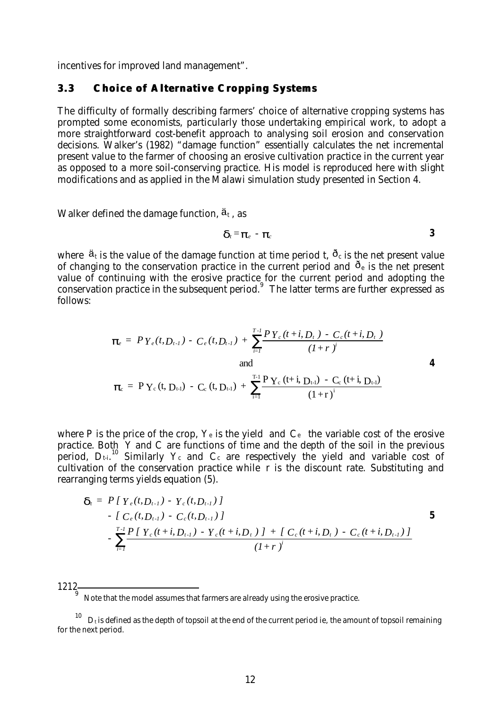incentives for improved land management".

### **3.3** Choice of Alternative Cropping Systems

The difficulty of formally describing farmers' choice of alternative cropping systems has prompted some economists, particularly those undertaking empirical work, to adopt a more straightforward cost-benefit approach to analysing soil erosion and conservation decisions. Walker's (1982) "damage function" essentially calculates the net incremental present value to the farmer of choosing an erosive cultivation practice in the current year as opposed to a more soil-conserving practice. His model is reproduced here with slight modifications and as applied in the Malawi simulation study presented in Section 4.

Walker defined the damage function,  $\ddot{a}_t$ , as

$$
d_i = p_e - p_c \tag{3}
$$

where  $\ddot{a}_t$  is the value of the damage function at time period t,  $\ddot{a}_c$  is the net present value of changing to the conservation practice in the current period and  $\delta_e$  is the net present value of continuing with the erosive practice for the current period and adopting the conservation practice in the subsequent period. The latter terms are further expressed as follows:

$$
\mathbf{p}_{e} = P Y_{e}(t, D_{t-1}) - C_{e}(t, D_{t-1}) + \sum_{i=1}^{T-1} \frac{P Y_{c}(t+i, D_{t}) - C_{c}(t+i, D_{t})}{(1+r)^{i}}
$$
  
and  

$$
\mathbf{p}_{e} = P Y_{c}(t, D_{t-1}) - C_{c}(t, D_{t-1}) + \sum_{i=1}^{T-1} \frac{P Y_{c}(t+i, D_{t-1}) - C_{c}(t+i, D_{t-1})}{(1+r)^{i}}
$$

where *P* is the price of the crop,  $Y_e$  is the yield and  $C_e$  the variable cost of the erosive practice. Both *Y* and *C* are functions of time and the depth of the soil in the previous period,  $D_t$ <sup>10</sup> Similarly  $Y_c$  and  $C_c$  are respectively the yield and variable cost of cultivation of the conservation practice while *r* is the discount rate. Substituting and rearranging terms yields equation (5).

$$
\mathbf{d}_{t} = P[Y_{e}(t, D_{t-1}) - Y_{c}(t, D_{t-1})]
$$
  
-  $\left[ C_{e}(t, D_{t-1}) - C_{c}(t, D_{t-1}) \right]$   
-  $\sum_{i=1}^{T-1} \frac{P[Y_{c}(t+i, D_{t-1}) - Y_{c}(t+i, D_{t})] + \left[ C_{c}(t+i, D_{t}) - C_{c}(t+i, D_{t-1}) \right]}{(1+r)^{i}}$ 

Note that the model assumes that farmers are already using the erosive practice.

 $10$   $D_t$  is defined as the depth of topsoil at the end of the current period *ie*, the amount of topsoil remaining for the next period.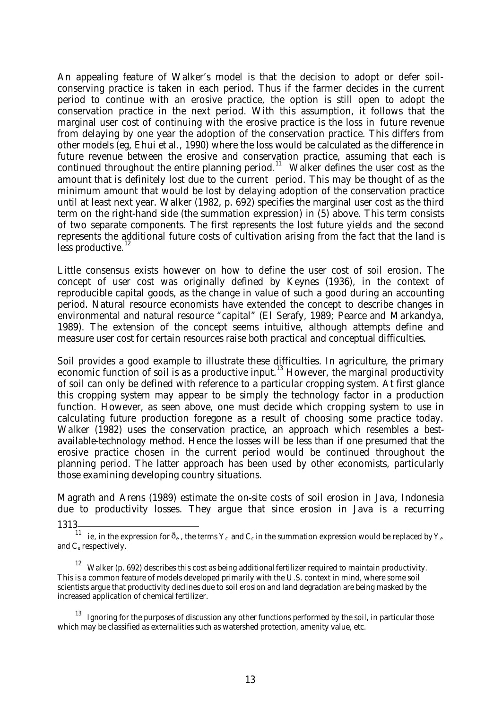An appealing feature of Walker's model is that the decision to adopt or defer soilconserving practice is taken in each period. Thus if the farmer decides in the current period to continue with an erosive practice, the option is still open to adopt the conservation practice in the next period. With this assumption, it follows that the marginal user cost of continuing with the erosive practice is the loss in *future* revenue from delaying by one year the adoption of the conservation practice. This differs from other models (*eg*, Ehui *et al.*, 1990) where the loss would be calculated as the difference in future revenue between the erosive and conservation practice, assuming that each is continued throughout the entire planning period.<sup>11</sup> Walker defines the user cost as the amount that is *definitely* lost due to the current period. This may be thought of as the minimum amount that would be lost by delaying adoption of the conservation practice until at least next year. Walker (1982, p. 692) specifies the marginal user cost as the third term on the right-hand side (the summation expression) in (5) above. This term consists of two separate components. The first represents the lost future yields and the second represents the additional future costs of cultivation arising from the fact that the land is less productive.<sup>12</sup>

Little consensus exists however on how to define the user cost of soil erosion. The concept of user cost was originally defined by Keynes (1936), in the context of reproducible capital goods, as the change in value of such a good during an accounting period. Natural resource economists have extended the concept to describe changes in environmental and natural resource "capital" (El Serafy, 1989; Pearce and Markandya, 1989). The extension of the concept seems intuitive, although attempts define and measure user cost for certain resources raise both practical and conceptual difficulties.

Soil provides a good example to illustrate these difficulties. In agriculture, the primary economic function of soil is as a productive input.<sup>13</sup> However, the marginal productivity of soil can only be defined with reference to a particular cropping system. At first glance this cropping system may appear to be simply the technology factor in a production function. However, as seen above, one must decide which cropping system to use in calculating future production foregone as a result of choosing some practice today. Walker (1982) uses the conservation practice, an approach which resembles a bestavailable-technology method. Hence the losses will be less than if one presumed that the erosive practice chosen in the current period would be continued throughout the planning period. The latter approach has been used by other economists, particularly those examining developing country situations.

Magrath and Arens (1989) estimate the on-site costs of soil erosion in Java, Indonesia due to productivity losses. They argue that since erosion in Java is a recurring

 $1313 -$ 

 $^{13}\;$  Ignoring for the purposes of discussion any other functions performed by the soil, in particular those which may be classified as externalities such as watershed protection, amenity value, etc.

*ie*, in the expression for  $\delta_e$ , the terms  $Y_c$  and  $C_c$  in the summation expression would be replaced by  $Y_e$ and *Ce* respectively.

 $12\;\;$  Walker (p. 692) describes this cost as being additional fertilizer required to maintain productivity. This is a common feature of models developed primarily with the U.S. context in mind, where some soil scientists argue that productivity declines due to soil erosion and land degradation are being masked by the increased application of chemical fertilizer.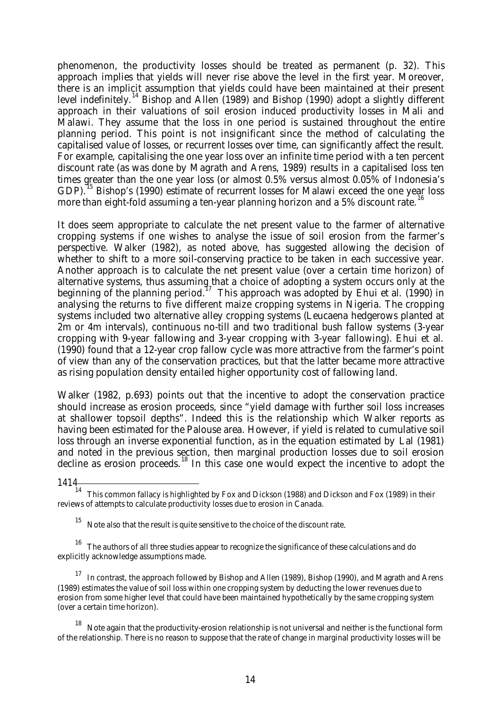phenomenon, the productivity losses should be treated as permanent (p. 32). This approach implies that yields will never rise above the level in the first year. Moreover, there is an implicit assumption that yields could have been maintained at their present level indefinitely.<sup>14</sup> Bishop and Allen (1989) and Bishop (1990) adopt a slightly different approach in their valuations of soil erosion induced productivity losses in Mali and Malawi. They assume that the loss in one period is sustained throughout the entire planning period. This point is not insignificant since the method of calculating the capitalised value of losses, or recurrent losses over time, can significantly affect the result. For example, capitalising the one year loss over an infinite time period with a ten percent discount rate (as was done by Magrath and Arens, 1989) results in a capitalised loss ten times greater than the one year loss (or almost 0.5% versus almost 0.05% of Indonesia's GDP).<sup>15</sup> Bishop's (1990) estimate of recurrent losses for Malawi exceed the one year loss more than eight-fold assuming a ten-year planning horizon and a 5% discount rate.<sup>1</sup>

It does seem appropriate to calculate the net present value to the farmer of alternative cropping systems if one wishes to analyse the issue of soil erosion from the farmer's perspective. Walker (1982), as noted above, has suggested allowing the decision of whether to shift to a more soil-conserving practice to be taken in each successive year. Another approach is to calculate the net present value (over a certain time horizon) of alternative systems, thus assuming that a choice of adopting a system occurs only at the beginning of the planning period.<sup>17</sup> This approach was adopted by Ehui *et al.* (1990) in analysing the returns to five different maize cropping systems in Nigeria. The cropping systems included two alternative alley cropping systems (*Leucaena* hedgerows planted at 2m or 4m intervals), continuous no-till and two traditional bush fallow systems (3-year cropping with 9-year fallowing and 3-year cropping with 3-year fallowing). Ehui *et al.* (1990) found that a 12-year crop fallow cycle was more attractive from the farmer's point of view than any of the conservation practices, but that the latter became more attractive as rising population density entailed higher opportunity cost of fallowing land.

Walker (1982, p.693) points out that the incentive to adopt the conservation practice should increase as erosion proceeds, since "yield damage with further soil loss increases at shallower topsoil depths". Indeed this is the relationship which Walker reports as having been estimated for the Palouse area. However, if yield is related to cumulative soil loss through an inverse exponential function, as in the equation estimated by Lal (1981) and noted in the previous section, then marginal production losses due to soil erosion *decline* as erosion proceeds.<sup>18</sup> In this case one would expect the incentive to adopt the

 $^{17}\,$  In contrast, the approach followed by Bishop and Allen (1989), Bishop (1990), and Magrath and Arens (1989) estimates the value of soil loss within *one* cropping system by deducting the lower revenues due to erosion from some higher level that could have been maintained hypothetically by the same cropping system (over a certain time horizon).

Note again that the productivity-erosion relationship is not universal and neither is the functional form of the relationship. There is no reason to suppose that the rate of change in marginal productivity losses will be

<sup>1414</sup> 

 $14$  This common fallacy is highlighted by Fox and Dickson (1988) and Dickson and Fox (1989) in their reviews of attempts to calculate productivity losses due to erosion in Canada.

 $15$  Note also that the result is quite sensitive to the choice of the discount rate.

 $^{16}\,$  The authors of all three studies appear to recognize the significance of these calculations and do explicitly acknowledge assumptions made.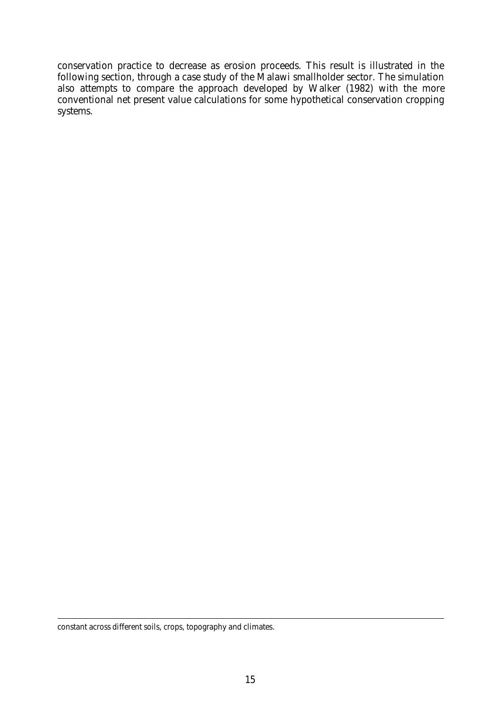conservation practice to decrease as erosion proceeds. This result is illustrated in the following section, through a case study of the Malawi smallholder sector. The simulation also attempts to compare the approach developed by Walker (1982) with the more conventional net present value calculations for some hypothetical conservation cropping systems.

constant across different soils, crops, topography and climates.

l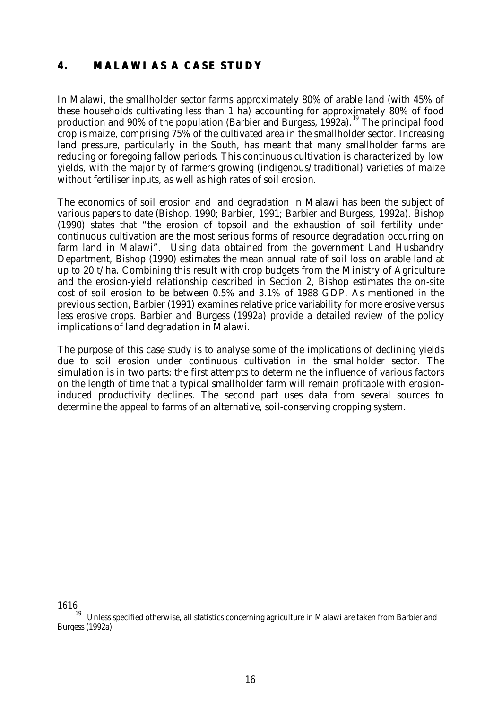## **4. MALAWI AS A CASE STUDY**

In Malawi, the smallholder sector farms approximately 80% of arable land (with 45% of these households cultivating less than 1 ha) accounting for approximately 80% of food production and 90% of the population (Barbier and Burgess,  $1992a$ ).<sup>19</sup> The principal food crop is maize, comprising 75% of the cultivated area in the smallholder sector. Increasing land pressure, particularly in the South, has meant that many smallholder farms are reducing or foregoing fallow periods. This continuous cultivation is characterized by low yields, with the majority of farmers growing (indigenous/traditional) varieties of maize without fertiliser inputs, as well as high rates of soil erosion.

The economics of soil erosion and land degradation in Malawi has been the subject of various papers to date (Bishop, 1990; Barbier, 1991; Barbier and Burgess, 1992a). Bishop (1990) states that "the erosion of topsoil and the exhaustion of soil fertility under continuous cultivation are the most serious forms of resource degradation occurring on farm land in Malawi". Using data obtained from the government Land Husbandry Department, Bishop (1990) estimates the mean annual rate of soil loss on arable land at up to 20 t/ha. Combining this result with crop budgets from the Ministry of Agriculture and the erosion-yield relationship described in Section 2, Bishop estimates the on-site cost of soil erosion to be between 0.5% and 3.1% of 1988 GDP. As mentioned in the previous section, Barbier (1991) examines relative price variability for more erosive versus less erosive crops. Barbier and Burgess (1992a) provide a detailed review of the policy implications of land degradation in Malawi.

The purpose of this case study is to analyse some of the implications of declining yields due to soil erosion under continuous cultivation in the smallholder sector. The simulation is in two parts: the first attempts to determine the influence of various factors on the length of time that a typical smallholder farm will remain profitable with erosioninduced productivity declines. The second part uses data from several sources to determine the appeal to farms of an alternative, soil-conserving cropping system.

 $\frac{19}{19}$  Unless specified otherwise, all statistics concerning agriculture in Malawi are taken from Barbier and Burgess (1992a).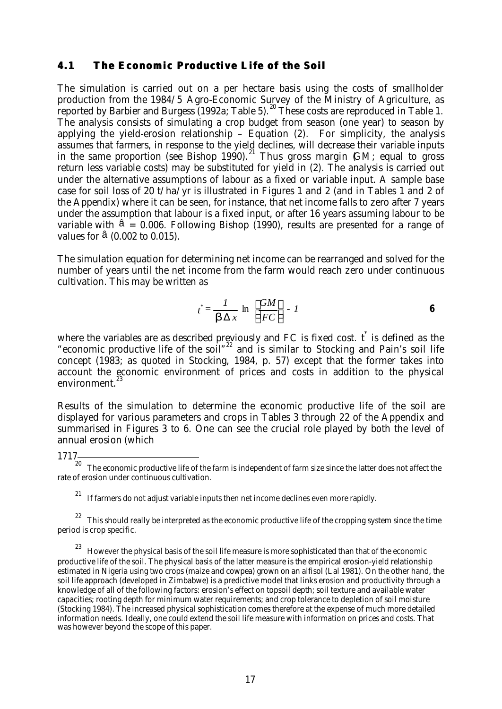### **4.1 The Economic Productive Life of the Soil**

The simulation is carried out on a per hectare basis using the costs of smallholder production from the 1984/5 Agro-Economic Survey of the Ministry of Agriculture, as reported by Barbier and Burgess (1992a; Table 5).  $^{20}$  These costs are reproduced in Table 1. The analysis consists of simulating a crop budget from season (one year) to season by applying the yield-erosion relationship  $-$  Equation (2). For simplicity, the analysis assumes that farmers, in response to the yield declines, will decrease their variable inputs in the same proportion (see Bishop  $1990$ ).<sup>21</sup> Thus gross margin (*GM*; equal to gross return less variable costs) may be substituted for yield in (2). The analysis is carried out under the alternative assumptions of labour as a fixed or variable input. A sample base case for soil loss of 20 t/ha/yr is illustrated in Figures 1 and 2 (and in Tables 1 and 2 of the Appendix) where it can be seen, for instance, that net income falls to zero after 7 years under the assumption that labour is a fixed input, or after 16 years assuming labour to be variable with  $\hat{a} = 0.006$ . Following Bishop (1990), results are presented for a range of values for â (0.002 to 0.015).

The simulation equation for determining net income can be rearranged and solved for the number of years until the net income from the farm would reach zero under continuous cultivation. This may be written as

$$
t^* = \frac{1}{\mathbf{b}\,\Delta\,x} \ln \left[\frac{GM}{FC}\right] - I \tag{6}
$$

where the variables are as described previously and  $FC$  is fixed cost.  $\widetilde{t}$  is defined as the "economic productive life of the soil"<sup>22</sup> and is similar to Stocking and Pain's soil life concept (1983; as quoted in Stocking, 1984, p. 57) except that the former takes into account the economic environment of prices and costs in addition to the physical environment<sup>23</sup>

Results of the simulation to determine the economic productive life of the soil are displayed for various parameters and crops in Tables 3 through 22 of the Appendix and summarised in Figures 3 to 6. One can see the crucial role played by both the level of annual erosion (which

### 1717

 $^{21}\,$  If farmers do not adjust variable inputs then net income declines even more rapidly.

<sup>22</sup>This should really be interpreted as the economic productive life of the *cropping system* since the time period is crop specific.

<sup>23</sup> However the *physical* basis of the soil life measure is more sophisticated than that of the economic productive life of the soil. The physical basis of the latter measure is the empirical erosion-yield relationship estimated in Nigeria using two crops (maize and cowpea) grown on an alfisol (Lal 1981). On the other hand, the soil life approach (developed in Zimbabwe) is a predictive model that links erosion and productivity through a knowledge of all of the following factors: erosion's effect on topsoil depth; soil texture and available water capacities; rooting depth for minimum water requirements; and crop tolerance to depletion of soil moisture (Stocking 1984). The increased physical sophistication comes therefore at the expense of much more detailed information needs. Ideally, one could extend the soil life measure with information on prices and costs. That was however beyond the scope of this paper.

 $\frac{1}{20}$  The economic productive life of the farm is independent of farm size since the latter does not affect the rate of erosion under continuous cultivation.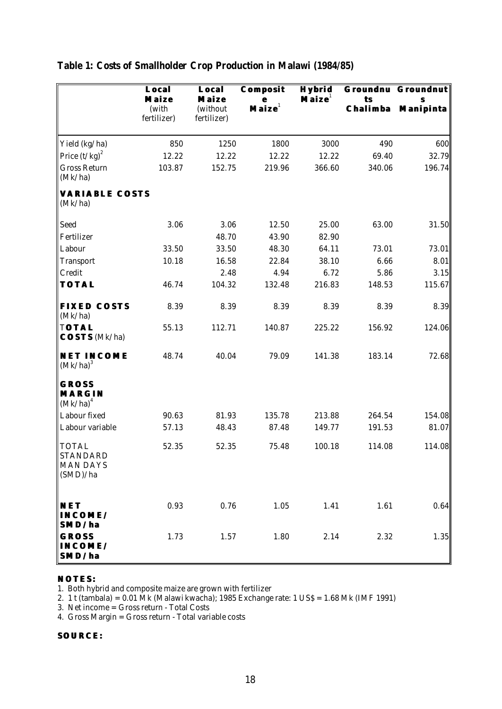|                                                                | Local<br><b>Maize</b><br>(with<br>fertilizer) | Local<br><b>Maize</b><br>(without<br>fertilizer) | Composit<br>$\mathbf{M}$ aize $^1$ | <b>Hybrid</b><br>$\mathbf{M}$ aize $^1$ | ts     | Groundnu Groundnut<br>Chalimba Manipinta |
|----------------------------------------------------------------|-----------------------------------------------|--------------------------------------------------|------------------------------------|-----------------------------------------|--------|------------------------------------------|
| Yield (kg/ha)                                                  | 850                                           | 1250                                             | 1800                               | 3000                                    | 490    | 600                                      |
| Price $(t/kg)^2$                                               | 12.22                                         | 12.22                                            | 12.22                              | 12.22                                   | 69.40  | 32.79                                    |
| <b>Gross Return</b><br>(Mk/ha)                                 | 103.87                                        | 152.75                                           | 219.96                             | 366.60                                  | 340.06 | 196.74                                   |
| <b>VARIABLE COSTS</b><br>(Mk/ha)                               |                                               |                                                  |                                    |                                         |        |                                          |
| Seed                                                           | 3.06                                          | 3.06                                             | 12.50                              | 25.00                                   | 63.00  | 31.50                                    |
| Fertilizer                                                     |                                               | 48.70                                            | 43.90                              | 82.90                                   |        |                                          |
| Labour                                                         | 33.50                                         | 33.50                                            | 48.30                              | 64.11                                   | 73.01  | 73.01                                    |
| Transport                                                      | 10.18                                         | 16.58                                            | 22.84                              | 38.10                                   | 6.66   | 8.01                                     |
| Credit                                                         |                                               | 2.48                                             | 4.94                               | 6.72                                    | 5.86   | 3.15                                     |
| <b>TOTAL</b>                                                   | 46.74                                         | 104.32                                           | 132.48                             | 216.83                                  | 148.53 | 115.67                                   |
| <b>FIXED COSTS</b><br>(Mk/ha)                                  | 8.39                                          | 8.39                                             | 8.39                               | 8.39                                    | 8.39   | 8.39                                     |
| <b>TOTAL</b><br><b>COSTS</b> (Mk/ha)                           | 55.13                                         | 112.71                                           | 140.87                             | 225.22                                  | 156.92 | 124.06                                   |
| <b>NET INCOME</b><br>$(Mk/ha)^3$                               | 48.74                                         | 40.04                                            | 79.09                              | 141.38                                  | 183.14 | 72.68                                    |
| <b>GROSS</b><br><b>MARGIN</b><br>$(Mk/ha)^4$                   |                                               |                                                  |                                    |                                         |        |                                          |
| Labour fixed                                                   | 90.63                                         | 81.93                                            | 135.78                             | 213.88                                  | 264.54 | 154.08                                   |
| Labour variable                                                | 57.13                                         | 48.43                                            | 87.48                              | 149.77                                  | 191.53 | 81.07                                    |
| <b>TOTAL</b><br><b>STANDARD</b><br><b>MAN DAYS</b><br>(SMD)/ha | 52.35                                         | 52.35                                            | 75.48                              | 100.18                                  | 114.08 | 114.08                                   |
| <b>NET</b><br><b>INCOME/</b><br>SMD/ha                         | 0.93                                          | 0.76                                             | 1.05                               | 1.41                                    | 1.61   | 0.64                                     |
| <b>GROSS</b><br>INCOME/<br>SMD/ha                              | 1.73                                          | 1.57                                             | 1.80                               | 2.14                                    | 2.32   | 1.35                                     |

# **Table 1: Costs of Smallholder Crop Production in Malawi (1984/85)**

### **NOTES:**

1. Both hybrid and composite maize are grown with fertilizer

2. 1 t (tambala) = 0.01 Mk (Malawi kwacha); 1985 Exchange rate: 1 US\$ = 1.68 Mk (IMF 1991)

3. Net income = Gross return - Total Costs

4. Gross Margin = Gross return - Total variable costs

### **SOURCE:**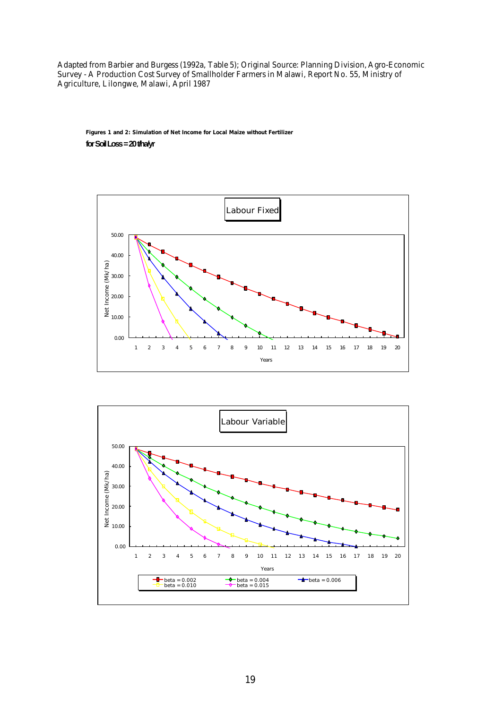Adapted from Barbier and Burgess (1992a, Table 5); Original Source: Planning Division, Agro-Economic Survey - A Production Cost Survey of Smallholder Farmers in Malawi, Report No. 55, Ministry of Agriculture, Lilongwe, Malawi, April 1987

**Figures 1 and 2: Simulation of Net Income for Local Maize without Fertilizer for Soil Loss = 20 t/ha/yr**



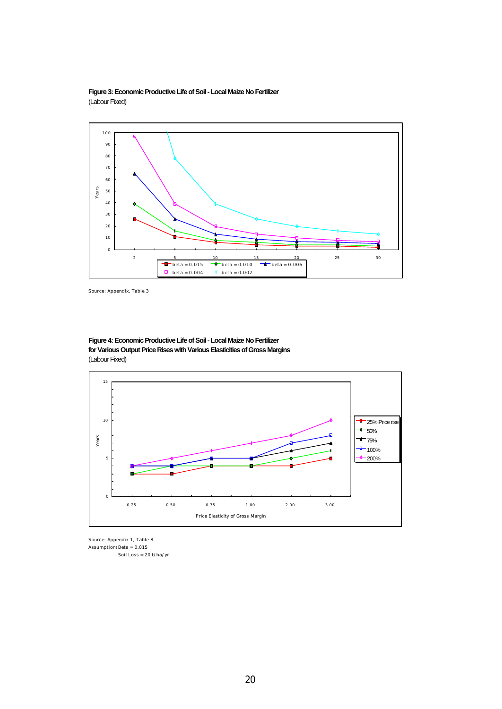

**Figure 3: Economic Productive Life of Soil - Local Maize No Fertilizer** (Labour Fixed)

Source: Appendix, Table 3





Source: Appendix 1, Table 8 Assumptions:Beta = 0.015 Soil Loss = 20 t/ha/yr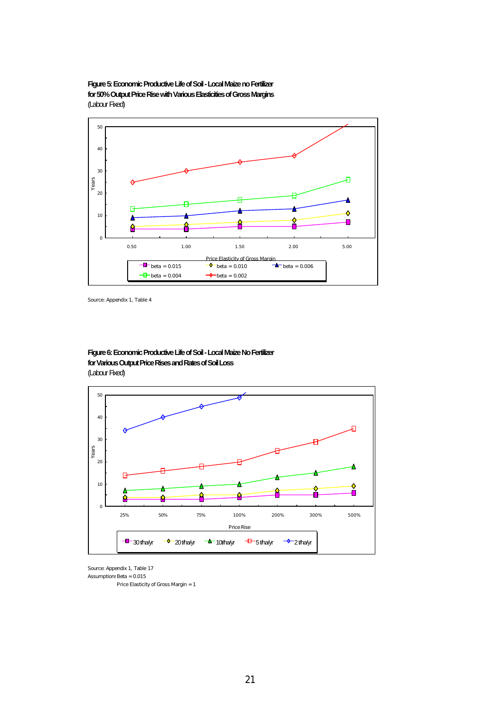**Figure 5: Economic Productive Life of Soil - Local Maize no Fertilizer for 50% Output Price Rise with Various Elasticities of Gross Margins** (Labour Fixed)



Source: Appendix 1, Table 4





Source: Appendix 1, Table 17 Assumptions: Beta = 0.015 Price Elasticity of Gross Margin = 1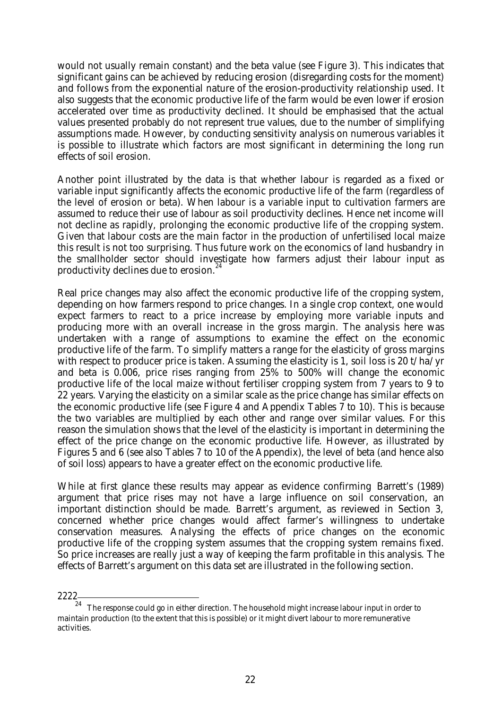would not usually remain constant) and the beta value (see Figure 3). This indicates that significant gains can be achieved by reducing erosion (disregarding costs for the moment) and follows from the exponential nature of the erosion-productivity relationship used. It also suggests that the economic productive life of the farm would be even lower if erosion accelerated over time as productivity declined. It should be emphasised that the actual values presented probably do not represent true values, due to the number of simplifying assumptions made. However, by conducting sensitivity analysis on numerous variables it is possible to illustrate which factors are most significant in determining the long run effects of soil erosion.

Another point illustrated by the data is that whether labour is regarded as a fixed or variable input significantly affects the economic productive life of the farm (regardless of the level of erosion or beta). When labour is a variable input to cultivation farmers are assumed to reduce their use of labour as soil productivity declines. Hence net income will not decline as rapidly, prolonging the economic productive life of the cropping system. Given that labour costs are the main factor in the production of unfertilised local maize this result is not too surprising. Thus future work on the economics of land husbandry in the smallholder sector should investigate how farmers adjust their labour input as productivity declines due to erosion.<sup>2</sup>

Real price changes may also affect the economic productive life of the cropping system, depending on how farmers respond to price changes. In a single crop context, one would expect farmers to react to a price increase by employing more variable inputs and producing more with an overall increase in the gross margin. The analysis here was undertaken with a range of assumptions to examine the effect on the economic productive life of the farm. To simplify matters a range for the elasticity of gross margins with respect to producer price is taken. Assuming the elasticity is 1, soil loss is 20 t/ha/yr and beta is 0.006, price rises ranging from 25% to 500% will change the economic productive life of the local maize without fertiliser cropping system from 7 years to 9 to 22 years. Varying the elasticity on a similar scale as the price change has similar effects on the economic productive life (see Figure 4 and Appendix Tables 7 to 10). This is because the two variables are multiplied by each other and range over similar values. For this reason the simulation shows that the level of the elasticity is important in determining the effect of the price change on the economic productive life. However, as illustrated by Figures 5 and 6 (see also Tables 7 to 10 of the Appendix), the level of beta (and hence also of soil loss) appears to have a greater effect on the economic productive life.

While at first glance these results may appear as evidence confirming Barrett's (1989) argument that price rises may not have a large influence on soil conservation, an important distinction should be made. Barrett's argument, as reviewed in Section 3, concerned whether price changes would affect farmer's willingness to undertake conservation measures. Analysing the effects of price changes on the economic productive life of the cropping system assumes that the cropping system remains fixed. So price increases are really just a way of keeping the farm profitable in this analysis. The effects of Barrett's argument on this data set are illustrated in the following section.

<sup>2222</sup> 

 $^{\mathbf{24}}$  The response could go in either direction. The household might increase labour input in order to maintain production (to the extent that this is possible) or it might divert labour to more remunerative activities.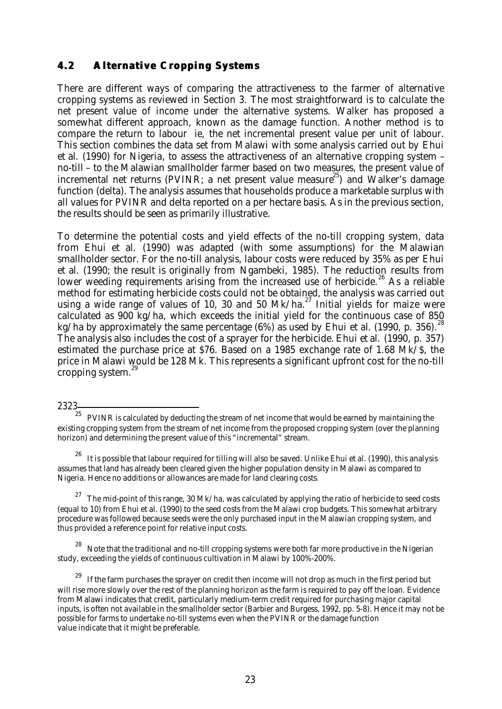# **4.2 Alternative Cropping Systems**

There are different ways of comparing the attractiveness to the farmer of alternative cropping systems as reviewed in Section 3. The most straightforward is to calculate the net present value of income under the alternative systems. Walker has proposed a somewhat different approach, known as the damage function. Another method is to compare the return to labour *ie,* the net incremental present value per unit of labour. This section combines the data set from Malawi with some analysis carried out by Ehui *et al.* (1990) for Nigeria, to assess the attractiveness of an alternative cropping system – no-till – to the Malawian smallholder farmer based on two measures, the present value of incremental net returns (PVINR; a net present value measure<sup>25</sup>) and Walker's damage function (delta). The analysis assumes that households produce a marketable surplus with all values for PVINR and delta reported on a per hectare basis. As in the previous section, the results should be seen as primarily illustrative.

To determine the potential costs and yield effects of the no-till cropping system, data from Ehui *et al.* (1990) was adapted (with some assumptions) for the Malawian smallholder sector. For the no-till analysis, labour costs were reduced by 35% as per Ehui *et al.* (1990; the result is originally from Ngambeki, 1985). The reduction results from lower weeding requirements arising from the increased use of herbicide.<sup>26</sup> As a reliable method for estimating herbicide costs could not be obtained, the analysis was carried out using a wide range of values of 10, 30 and 50  $Mk/ha$ <sup>27</sup> Initial yields for maize were calculated as 900 kg/ha, which exceeds the initial yield for the continuous case of 850 kg/ha by approximately the same percentage (6%) as used by Ehui *et al.* (1990, p. 356).<sup>28</sup> The analysis also includes the cost of a sprayer for the herbicide. Ehui *et al.* (1990, p. 357) estimated the purchase price at \$76. Based on a 1985 exchange rate of 1.68 Mk/\$, the price in Malawi would be 128 Mk. This represents a significant upfront cost for the no-till cropping system.<sup>29</sup>

### 2323

<sup>26</sup>It is possible that labour required for tilling will also be saved. Unlike Ehui *et al.* (1990), this analysis assumes that land has already been cleared given the higher population density in Malawi as compared to Nigeria. Hence no additions or allowances are made for land clearing costs.

 $^{27}\,$  The mid-point of this range, 30 Mk/ha, was calculated by applying the ratio of herbicide to seed costs (equal to 10) from Ehui *et al.* (1990) to the seed costs from the Malawi crop budgets. This somewhat arbitrary procedure was followed because seeds were the only purchased input in the Malawian cropping system, and thus provided a reference point for relative input costs.

 $28$  Note that the traditional and no-till cropping systems were both far more productive in the Nigerian study, exceeding the yields of continuous cultivation in Malawi by 100%-200%.

<sup>29</sup> If the farm purchases the sprayer on credit then income will not drop as much in the first period but will rise more slowly over the rest of the planning horizon as the farm is required to pay off the loan. Evidence from Malawi indicates that credit, particularly medium-term credit required for purchasing major capital inputs, is often not available in the smallholder sector (Barbier and Burgess, 1992, pp. 5-8). Hence it may not be possible for farms to undertake no-till systems even when the PVINR or the damage function value indicate that it might be preferable.

<sup>25</sup>PVINR is calculated by deducting the stream of net income that would be earned by maintaining the existing cropping system from the stream of net income from the proposed cropping system (over the planning horizon) and determining the present value of this "incremental" stream.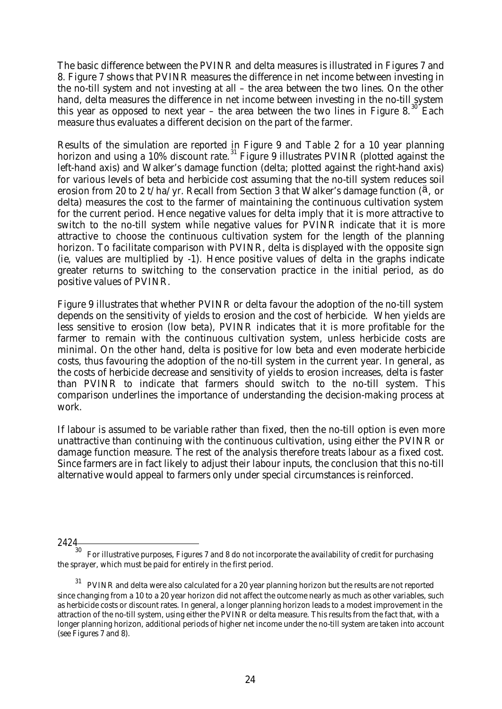The basic difference between the PVINR and delta measures is illustrated in Figures 7 and 8. Figure 7 shows that PVINR measures the difference in net income between investing in the no-till system and not investing at all – the area between the two lines. On the other hand, delta measures the difference in net income between investing in the no-till system this year as opposed to next year – the area between the two lines in Figure  $8.^{30}$  Each measure thus evaluates a different decision on the part of the farmer.

Results of the simulation are reported in Figure 9 and Table 2 for a 10 year planning horizon and using a 10% discount rate.<sup>31</sup> Figure 9 illustrates PVINR (plotted against the left-hand axis) and Walker's damage function (delta; plotted against the right-hand axis) for various levels of beta and herbicide cost assuming that the no-till system reduces soil erosion from 20 to 2 t/ha/yr. Recall from Section 3 that Walker's damage function (ä, or delta) measures the cost to the farmer of maintaining the continuous cultivation system for the current period. Hence negative values for delta imply that it is more attractive to switch to the no-till system while negative values for PVINR indicate that it is more attractive to choose the continuous cultivation system for the length of the planning horizon. To facilitate comparison with PVINR, delta is displayed with the *opposite* sign (*ie*, values are multiplied by -1). Hence positive values of delta in the graphs indicate greater returns to switching to the conservation practice in the initial period, as do positive values of PVINR.

Figure 9 illustrates that whether PVINR or delta favour the adoption of the no-till system depends on the sensitivity of yields to erosion and the cost of herbicide. When yields are less sensitive to erosion (low beta), PVINR indicates that it is more profitable for the farmer to remain with the continuous cultivation system, unless herbicide costs are minimal. On the other hand, delta is positive for low beta and even moderate herbicide costs, thus favouring the adoption of the no-till system in the current year. In general, as the costs of herbicide decrease and sensitivity of yields to erosion increases, delta is faster than PVINR to indicate that farmers should switch to the no-till system. This comparison underlines the importance of understanding the decision-making process at work.

If labour is assumed to be variable rather than fixed, then the no-till option is even more unattractive than continuing with the continuous cultivation, using either the PVINR or damage function measure. The rest of the analysis therefore treats labour as a fixed cost. Since farmers are in fact likely to adjust their labour inputs, the conclusion that this no-till alternative would appeal to farmers only under special circumstances is reinforced.

<sup>30</sup>For illustrative purposes, Figures 7 and 8 do not incorporate the availability of credit for purchasing the sprayer, which must be paid for entirely in the first period.

 $31$  PVINR and delta were also calculated for a 20 year planning horizon but the results are not reported since changing from a 10 to a 20 year horizon did not affect the outcome nearly as much as other variables, such as herbicide costs or discount rates. In general, a longer planning horizon leads to a modest improvement in the attraction of the no-till system, using either the PVINR or delta measure. This results from the fact that, with a longer planning horizon, additional periods of higher net income under the no-till system are taken into account (see Figures 7 and 8).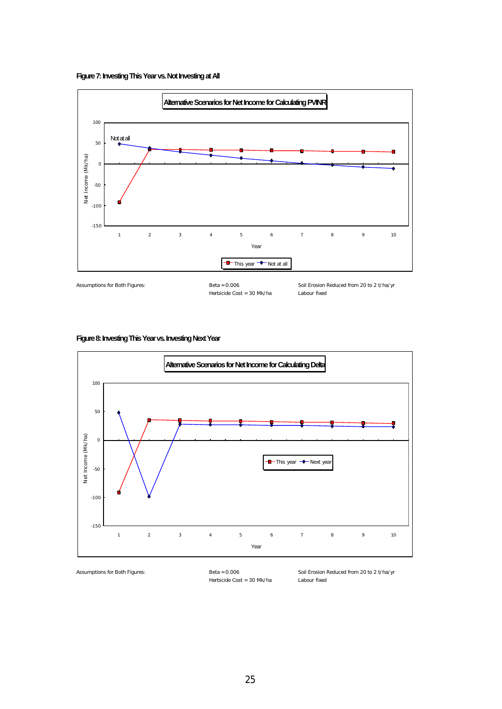



### **Figure 8: Investing This Year vs. Investing Next Year**



Herbicide Cost = 30 Mk/ha Labour fixed

Assumptions for Both Figures: Beta = 0.006 Soil Erosion Reduced from 20 to 2 t/ha/yr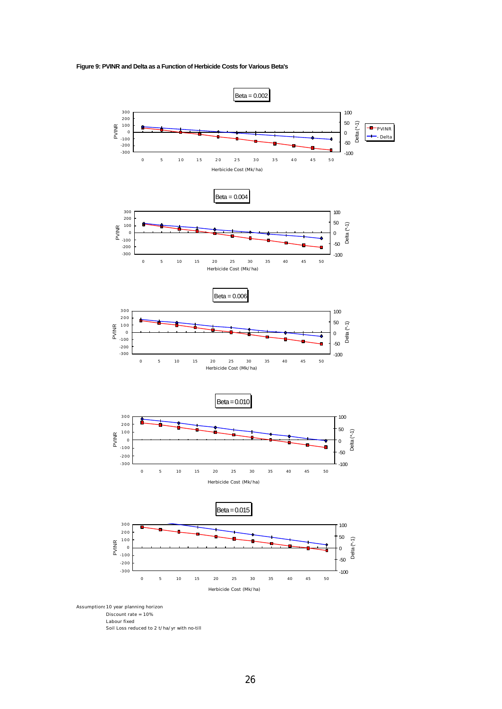#### **Figure 9: PVINR and Delta as a Function of Herbicide Costs for Various Beta's**



Soil Loss reduced to 2 t/ha/yr with no-till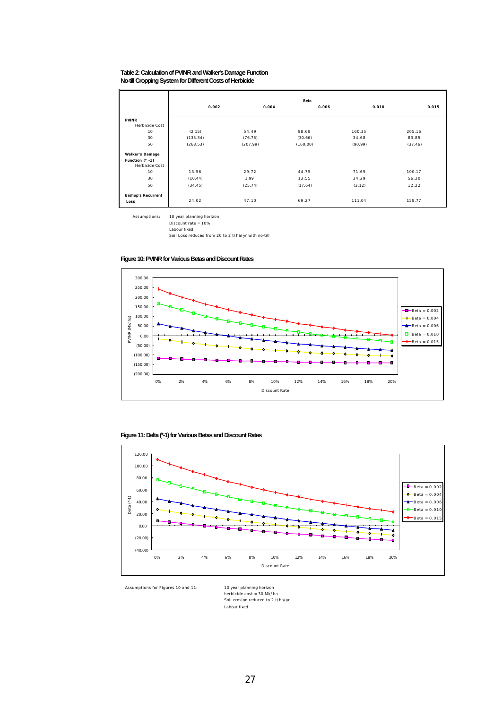#### **Table 2: Calculation of PVINR and Walker's Damage Function No-till Cropping System for Different Costs of Herbicide**

|                                                                           | 0.002            | 0.004         | Beta<br>0.006  | 0.010          | 0.015           |
|---------------------------------------------------------------------------|------------------|---------------|----------------|----------------|-----------------|
| <b>PVINR</b>                                                              |                  |               |                |                |                 |
| Herbicide Cost                                                            |                  |               |                |                |                 |
| 10                                                                        | (2.15)           | 54.49         | 98.68          | 160.35         | 205.16          |
| 30                                                                        | (135.34)         | (76.75)       | (30.66)        | 34.68          | 83.85           |
| 50                                                                        | (268.53)         | (207.99)      | (160.00)       | (90.99)        | (37.46)         |
| <b>Walker's Damage</b><br>Function $(* -1)$<br>Herbicide Cost<br>10<br>30 | 13.56<br>(10.44) | 29.72<br>1.99 | 44.75<br>13.55 | 71.69<br>34.29 | 100.17<br>56.20 |
| 50                                                                        | (34.45)          | (25.74)       | (17.64)        | (3.12)         | 12.22           |
| <b>Bishop's Recurrent</b><br>Loss                                         | 24.02            | 47.10         | 69.27          | 111.04         | 158.77          |

Assumptions: 10 year planning horizon

Discount rate = 10% Labour fixed

Soil Loss reduced from 20 to 2 t/ha/yr with no-till





#### **Figure 11: Delta (\*-1) for Various Betas and Discount Rates**



Assumptions for Figures 10 and 11:

10 year planning horizon<br>herbicide cost = 30 Mk/ha Soil erosion reduced to 2 t/ha/yr Labour fixed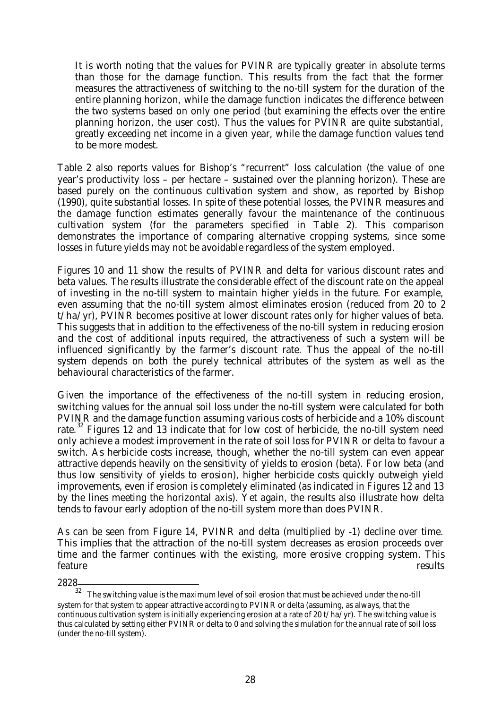It is worth noting that the values for PVINR are typically greater in absolute terms than those for the damage function. This results from the fact that the former measures the attractiveness of switching to the no-till system for the duration of the *entire* planning horizon, while the damage function indicates the difference between the two systems based on only one period (but examining the effects over the entire planning horizon, the user cost). Thus the values for PVINR are quite substantial, greatly exceeding net income in a given year, while the damage function values tend to be more modest.

Table 2 also reports values for Bishop's "recurrent" loss calculation (the value of one year's productivity loss – per hectare – sustained over the planning horizon). These are based purely on the continuous cultivation system and show, as reported by Bishop (1990), quite substantial losses. In spite of these potential losses, the PVINR measures and the damage function estimates generally favour the maintenance of the continuous cultivation system (for the parameters specified in Table 2). This comparison demonstrates the importance of comparing alternative cropping systems, since some losses in future yields may not be avoidable regardless of the system employed.

Figures 10 and 11 show the results of PVINR and delta for various discount rates and beta values. The results illustrate the considerable effect of the discount rate on the appeal of investing in the no-till system to maintain higher yields in the future. For example, even assuming that the no-till system almost eliminates erosion (reduced from 20 to 2 t/ha/yr), PVINR becomes positive at lower discount rates only for higher values of beta. This suggests that in addition to the effectiveness of the no-till system in reducing erosion and the cost of additional inputs required, the attractiveness of such a system will be influenced significantly by the farmer's discount rate. Thus the appeal of the no-till system depends on both the purely technical attributes of the system as well as the behavioural characteristics of the farmer.

Given the importance of the effectiveness of the no-till system in reducing erosion, switching values for the annual soil loss under the no-till system were calculated for both PVINR and the damage function assuming various costs of herbicide and a 10% discount rate.<sup>32</sup> Figures 12 and 13 indicate that for low cost of herbicide, the no-till system need only achieve a modest improvement in the rate of soil loss for PVINR or delta to favour a switch. As herbicide costs increase, though, whether the no-till system can even appear attractive depends heavily on the sensitivity of yields to erosion (beta). For low beta (and thus low sensitivity of yields to erosion), higher herbicide costs quickly outweigh yield improvements, even if erosion is completely eliminated (as indicated in Figures 12 and 13 by the lines meeting the horizontal axis). Yet again, the results also illustrate how delta tends to favour early adoption of the no-till system more than does PVINR.

As can be seen from Figure 14, PVINR and delta (multiplied by -1) decline over time. This implies that the attraction of the no-till system decreases as erosion proceeds over time and the farmer continues with the existing, more erosive cropping system. This feature results

<sup>32</sup>The switching value is the maximum level of soil erosion that must be achieved under the no-till system for that system to appear attractive according to PVINR or delta (assuming, as always, that the continuous cultivation system is initially experiencing erosion at a rate of 20 t/ha/yr). The switching value is thus calculated by setting either PVINR or delta to 0 and solving the simulation for the annual rate of soil loss (under the no-till system).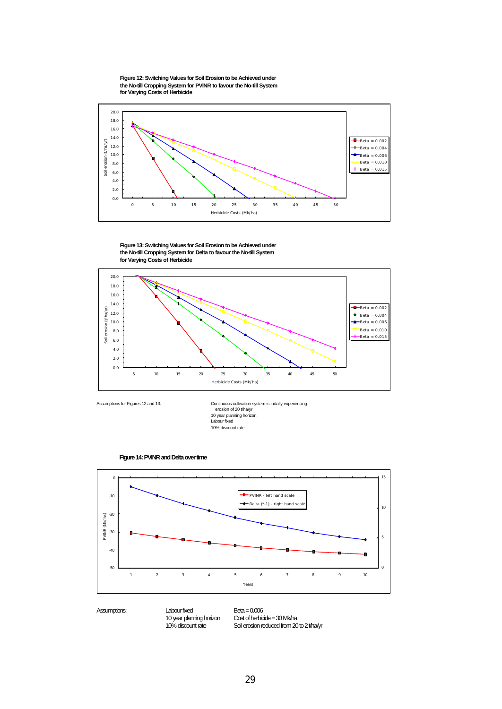**Figure 12: Switching Values for Soil Erosion to be Achieved under the No-till Cropping System for PVINR to favour the No-till System for Varying Costs of Herbicide**



**Figure 13: Switching Values for Soil Erosion to be Achieved under the No-till Cropping System for Delta to favour the No-till System for Varying Costs of Herbicide**





**Figure 14: PVINR and Delta over time**





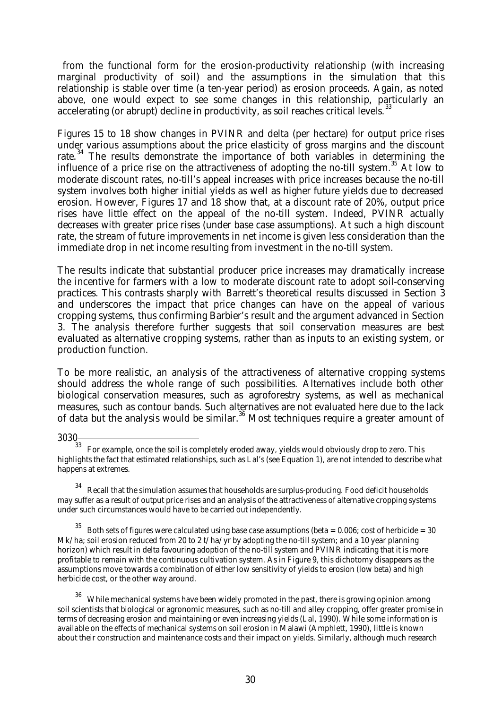from the functional form for the erosion-productivity relationship (with increasing marginal productivity of soil) and the assumptions in the simulation that this relationship is stable over time (a ten-year period) as erosion proceeds. Again, as noted above, one would expect to see some changes in this relationship, particularly an accelerating (or abrupt) decline in productivity, as soil reaches critical levels.<sup>3</sup>

Figures 15 to 18 show changes in PVINR and delta (per hectare) for output price rises under various assumptions about the price elasticity of gross margins and the discount rate.<sup>34</sup> The results demonstrate the importance of both variables in determining the influence of a price rise on the attractiveness of adopting the no-till system.<sup>35</sup> At low to moderate discount rates, no-till's appeal increases with price increases because the no-till system involves both higher initial yields as well as higher future yields due to decreased erosion. However, Figures 17 and 18 show that, at a discount rate of 20%, output price rises have little effect on the appeal of the no-till system. Indeed, PVINR actually decreases with greater price rises (under base case assumptions). At such a high discount rate, the stream of future improvements in net income is given less consideration than the immediate drop in net income resulting from investment in the no-till system.

The results indicate that substantial producer price increases may dramatically increase the incentive for farmers with a low to moderate discount rate to adopt soil-conserving practices. This contrasts sharply with Barrett's theoretical results discussed in Section 3 and underscores the impact that price changes can have on the appeal of various cropping systems, thus confirming Barbier's result and the argument advanced in Section 3. The analysis therefore further suggests that soil conservation measures are best evaluated as alternative cropping systems, rather than as inputs to an existing system, or production function.

To be more realistic, an analysis of the attractiveness of alternative cropping systems should address the whole range of such possibilities. Alternatives include both other biological conservation measures, such as agroforestry systems, as well as mechanical measures, such as contour bands. Such alternatives are not evaluated here due to the lack of data but the analysis would be similar.<sup>36</sup> Most techniques require a greater amount of

<sup>33</sup>For example, once the soil is completely eroded away, yields would obviously drop to zero. This highlights the fact that estimated relationships, such as Lal's (see Equation 1), are not intended to describe what happens at extremes.

<sup>&</sup>lt;sup>34</sup> Recall that the simulation assumes that households are surplus-producing. Food deficit households may suffer as a result of output price rises and an analysis of the attractiveness of alternative cropping systems under such circumstances would have to be carried out independently.

Both sets of figures were calculated using base case assumptions (beta =  $0.006$ ; cost of herbicide = 30 Mk/ha; soil erosion reduced from 20 to 2 t/ha/yr by adopting the no-till system; and a 10 year planning horizon) which result in delta favouring adoption of the no-till system and PVINR indicating that it is more profitable to remain with the continuous cultivation system. As in Figure 9, this dichotomy disappears as the assumptions move towards a combination of either low sensitivity of yields to erosion (low beta) and high herbicide cost, or the other way around.

While mechanical systems have been widely promoted in the past, there is growing opinion among soil scientists that biological or agronomic measures, such as no-till and alley cropping, offer greater promise in terms of decreasing erosion and maintaining or even increasing yields (Lal, 1990). While some information is available on the effects of mechanical systems on soil erosion in Malawi (Amphlett, 1990), little is known about their construction and maintenance costs and their impact on yields. Similarly, although much research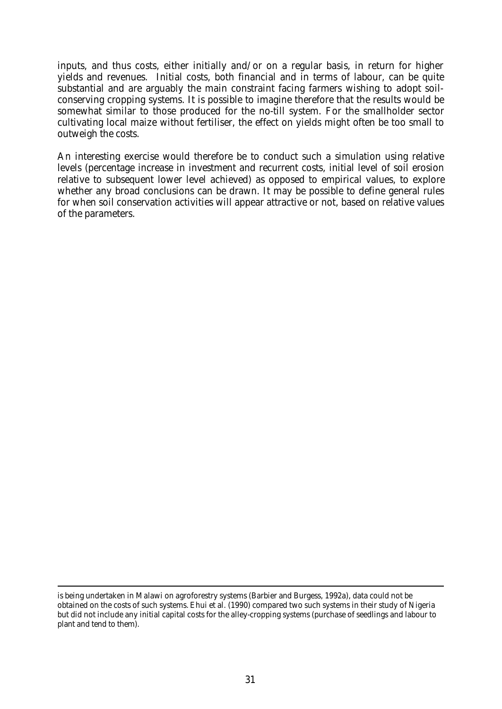inputs, and thus costs, either initially and/or on a regular basis, in return for higher yields and revenues. Initial costs, both financial and in terms of labour, can be quite substantial and are arguably the main constraint facing farmers wishing to adopt soilconserving cropping systems. It is possible to imagine therefore that the results would be somewhat similar to those produced for the no-till system. For the smallholder sector cultivating local maize without fertiliser, the effect on yields might often be too small to outweigh the costs.

An interesting exercise would therefore be to conduct such a simulation using relative levels (percentage increase in investment and recurrent costs, initial level of soil erosion relative to subsequent lower level achieved) as opposed to empirical values, to explore whether any broad conclusions can be drawn. It may be possible to define general rules for when soil conservation activities will appear attractive or not, based on relative values of the parameters.

l

is being undertaken in Malawi on agroforestry systems (Barbier and Burgess, 1992a), data could not be obtained on the costs of such systems. Ehui *et al.* (1990) compared two such systems in their study of Nigeria but did not include any initial capital costs for the alley-cropping systems (purchase of seedlings and labour to plant and tend to them).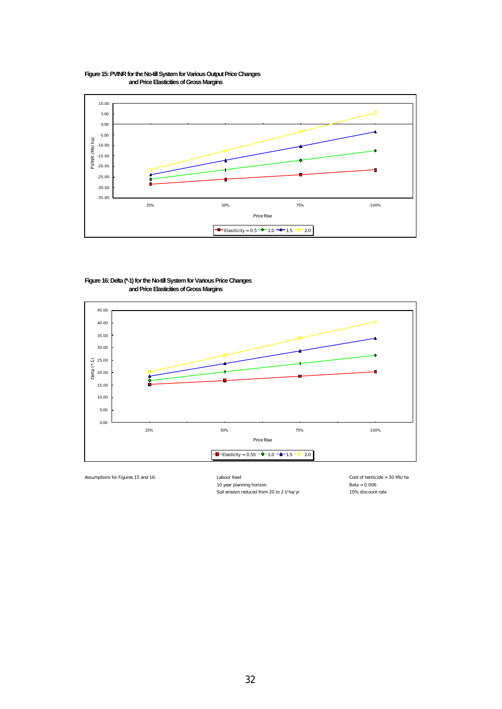#### **Figure 15: PVINR for the No-till System for Various Output Price Changes and Price Elasticities of Gross Margins**



#### **Figure 16: Delta (\*-1) for the No-till System for Various Price Changes and Price Elasticities of Gross Margins**



Assumptions for Figures 15 and 16: Labour fixed Labour fixed<br>
10 year planning horizon<br>
10 year planning horizon<br>
Eeta = 0.006 10 year planning horizon<br>
10 year planning horizon<br>
10% discount rate<br>
10% discount rate Soil erosion reduced from 20 to 2 t/ha/yr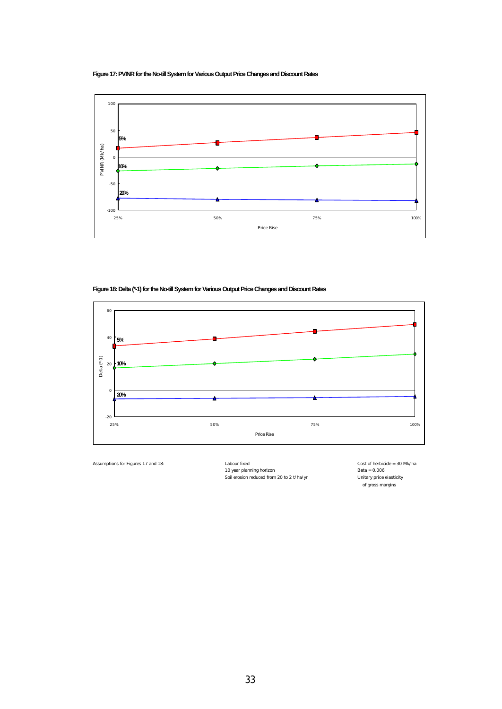### **Figure 17: PVINR for the No-till System for Various Output Price Changes and Discount Rates**



### **Figure 18: Delta (\*-1) for the No-till System for Various Output Price Changes and Discount Rates**



Assumptions for Figures 17 and 18: Labour fixed Labour fixed<br>
10 year planning horizon<br>
20 year planning horizon<br>
20 year planning horizon<br>
20 year planning horizon 10 year planning horizon<br>
Soil erosion reduced from 20 to 2 t/ha/yr<br>
Unitary price elasticity Soil erosion reduced from 20 to 2 t/ha/yr

of gross margins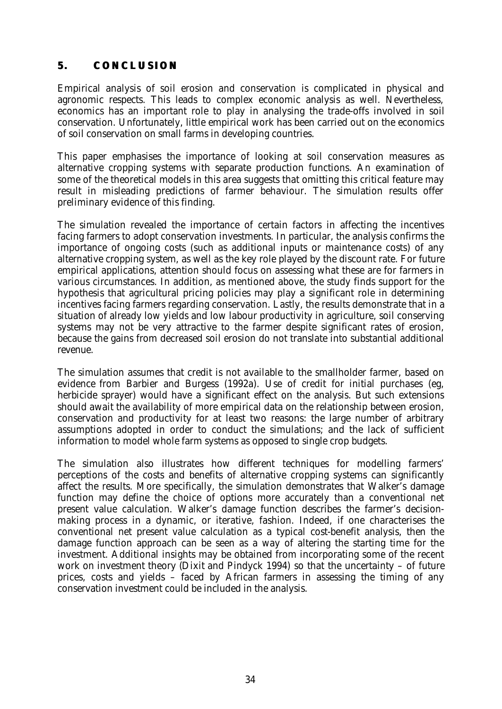# **5. CONCLUSION**

Empirical analysis of soil erosion and conservation is complicated in physical and agronomic respects. This leads to complex economic analysis as well. Nevertheless, economics has an important role to play in analysing the trade-offs involved in soil conservation. Unfortunately, little empirical work has been carried out on the economics of soil conservation on small farms in developing countries.

This paper emphasises the importance of looking at soil conservation measures as alternative cropping systems with separate production functions. An examination of some of the theoretical models in this area suggests that omitting this critical feature may result in misleading predictions of farmer behaviour. The simulation results offer preliminary evidence of this finding.

The simulation revealed the importance of certain factors in affecting the incentives facing farmers to adopt conservation investments. In particular, the analysis confirms the importance of ongoing costs (such as additional inputs or maintenance costs) of any alternative cropping system, as well as the key role played by the discount rate. For future empirical applications, attention should focus on assessing what these are for farmers in various circumstances. In addition, as mentioned above, the study finds support for the hypothesis that agricultural pricing policies may play a significant role in determining incentives facing farmers regarding conservation. Lastly, the results demonstrate that in a situation of already low yields and low labour productivity in agriculture, soil conserving systems may not be very attractive to the farmer despite significant rates of erosion, because the gains from decreased soil erosion do not translate into substantial additional revenue.

The simulation assumes that credit is not available to the smallholder farmer, based on evidence from Barbier and Burgess (1992a). Use of credit for initial purchases (*eg,* herbicide sprayer) would have a significant effect on the analysis. But such extensions should await the availability of more empirical data on the relationship between erosion, conservation and productivity for at least two reasons: the large number of arbitrary assumptions adopted in order to conduct the simulations; and the lack of sufficient information to model whole farm systems as opposed to single crop budgets.

The simulation also illustrates how different techniques for modelling farmers' perceptions of the costs and benefits of alternative cropping systems can significantly affect the results. More specifically, the simulation demonstrates that Walker's damage function may define the choice of options more accurately than a conventional net present value calculation. Walker's damage function describes the farmer's decisionmaking process in a dynamic, or iterative, fashion. Indeed, if one characterises the conventional net present value calculation as a typical cost-benefit analysis, then the damage function approach can be seen as a way of altering the starting time for the investment. Additional insights may be obtained from incorporating some of the recent work on investment theory (Dixit and Pindyck 1994) so that the uncertainty – of future prices, costs and yields – faced by African farmers in assessing the timing of any conservation investment could be included in the analysis.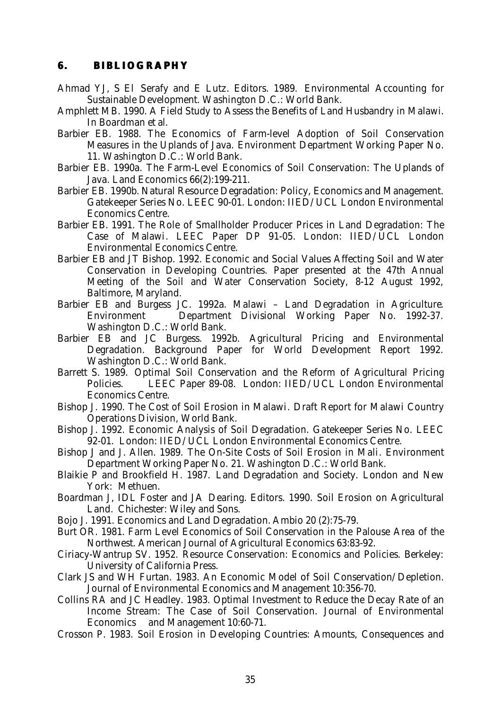### **6. BIBLIOGRAPHY**

- Ahmad YJ, S El Serafy and E Lutz. Editors. 1989. *Environmental Accounting for Sustainable Development*. Washington D.C.: World Bank.
- Amphlett MB. 1990. A Field Study to Assess the Benefits of Land Husbandry in Malawi. In Boardman *et al.*
- Barbier EB. 1988. *The Economics of Farm-level Adoption of Soil Conservation Measures in the Uplands of Java*. Environment Department Working Paper No. 11. Washington D.C.: World Bank.
- Barbier EB. 1990a. The Farm-Level Economics of Soil Conservation: The Uplands of Java. *Land Economics* 66(2):199-211.
- Barbier EB. 1990b. *Natural Resource Degradation: Policy, Economics and Management*. Gatekeeper Series No. LEEC 90-01. London: IIED/UCL London Environmental Economics Centre.
- Barbier EB. 1991. *The Role of Smallholder Producer Prices in Land Degradation: The Case of Malawi*. LEEC Paper DP 91-05. London: IIED/UCL London Environmental Economics Centre.
- Barbier EB and JT Bishop. 1992. *Economic and Social Values Affecting Soil and Water Conservation in Developing Countries*. Paper presented at the 47th Annual Meeting of the Soil and Water Conservation Society, 8-12 August 1992, Baltimore, Maryland.
- Barbier EB and Burgess JC. 1992a. *Malawi Land Degradation in Agriculture*. Environment Department Divisional Working Paper No. 1992-37. Washington D.C.: World Bank.
- Barbier EB and JC Burgess. 1992b. *Agricultural Pricing and Environmental Degradation*. Background Paper for World Development Report 1992. Washington D.C.: World Bank.
- Barrett S. 1989. *Optimal Soil Conservation and the Reform of Agricultural Pricing Policies*. LEEC Paper 89-08. London: IIED/UCL London Environmental Economics Centre.
- Bishop J. 1990. *The Cost of Soil Erosion in Malawi*. Draft Report for Malawi Country Operations Division, World Bank.
- Bishop J. 1992. *Economic Analysis of Soil Degradation*. Gatekeeper Series No. LEEC 92-01. London: IIED/UCL London Environmental Economics Centre.
- Bishop J and J. Allen. 1989. *The On-Site Costs of Soil Erosion in Mali*. Environment Department Working Paper No. 21. Washington D.C.: World Bank.
- Blaikie P and Brookfield H. 1987. *Land Degradation and Society*. London and New York: Methuen.
- Boardman J, IDL Foster and JA Dearing. Editors. 1990. *Soil Erosion on Agricultural Land*. Chichester: Wiley and Sons.
- Bojo J. 1991. Economics and Land Degradation. *Ambio* 20 (2):75-79.
- Burt OR. 1981. Farm Level Economics of Soil Conservation in the Palouse Area of the Northwest. *American Journal of Agricultural Economics* 63:83-92.
- Ciriacy-Wantrup SV. 1952. *Resource Conservation: Economics and Policies*. Berkeley: University of California Press.
- Clark JS and WH Furtan. 1983. An Economic Model of Soil Conservation/Depletion. *Journal of Environmental Economics and Management* 10:356-70.
- Collins RA and JC Headley. 1983. Optimal Investment to Reduce the Decay Rate of an Income Stream: The Case of Soil Conservation. *Journal of Environmental Economics and Management* 10:60-71.
- Crosson P. 1983. *Soil Erosion in Developing Countries: Amounts, Consequences and*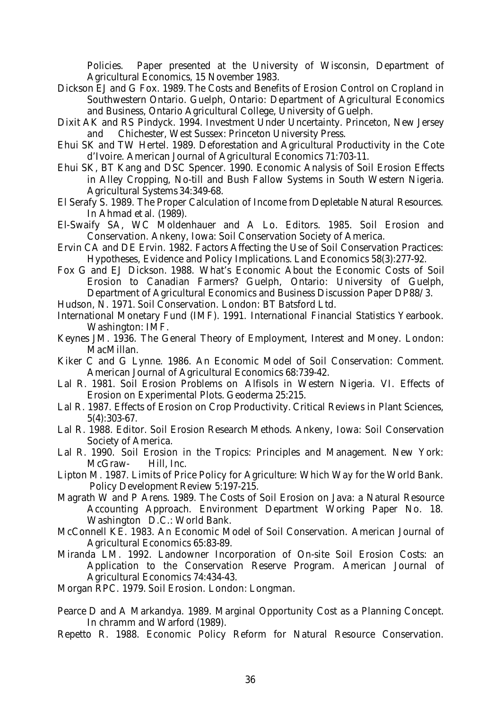*Policies*. Paper presented at the University of Wisconsin, Department of Agricultural Economics, 15 November 1983.

- Dickson EJ and G Fox. 1989. *The Costs and Benefits of Erosion Control on Cropland in Southwestern Ontario*. Guelph, Ontario: Department of Agricultural Economics and Business, Ontario Agricultural College, University of Guelph.
- Dixit AK and RS Pindyck. 1994. *Investment Under Uncertainty*. Princeton, New Jersey and Chichester, West Sussex: Princeton University Press.
- Ehui SK and TW Hertel. 1989. Deforestation and Agricultural Productivity in the Cote d'Ivoire. *American Journal of Agricultural Economics* 71:703-11.
- Ehui SK, BT Kang and DSC Spencer. 1990. Economic Analysis of Soil Erosion Effects in Alley Cropping, No-till and Bush Fallow Systems in South Western Nigeria. *Agricultural Systems* 34:349-68.
- El Serafy S. 1989. The Proper Calculation of Income from Depletable Natural Resources. In Ahmad *et al.* (1989).
- El-Swaify SA, WC Moldenhauer and A Lo. Editors. 1985. *Soil Erosion and Conservation*. Ankeny, Iowa: Soil Conservation Society of America.
- Ervin CA and DE Ervin. 1982. Factors Affecting the Use of Soil Conservation Practices: Hypotheses, Evidence and Policy Implications. *Land Economics* 58(3):277-92.
- Fox G and EJ Dickson. 1988. *What's Economic About the Economic Costs of Soil Erosion to Canadian Farmers?* Guelph, Ontario: University of Guelph, Department of Agricultural Economics and Business Discussion Paper DP88/3.
- Hudson, N. 1971. *Soil Conservation*. London: BT Batsford Ltd.
- International Monetary Fund (IMF). 1991. *International Financial Statistics Yearbook*. Washington: IMF.
- Keynes JM. 1936. *The General Theory of Employment, Interest and Money*. London: MacMillan.
- Kiker C and G Lynne. 1986. An Economic Model of Soil Conservation: Comment. *American Journal of Agricultural Economics* 68:739-42.
- Lal R. 1981. Soil Erosion Problems on Alfisols in Western Nigeria. VI. Effects of Erosion on Experimental Plots. *Geoderma* 25:215.
- Lal R. 1987. Effects of Erosion on Crop Productivity. *Critical Reviews in Plant Sciences*, 5(4):303-67.
- Lal R. 1988. Editor. *Soil Erosion Research Methods*. Ankeny, Iowa: Soil Conservation Society of America.
- Lal R. 1990. *Soil Erosion in the Tropics: Principles and Management*. New York: McGraw- Hill, Inc.
- Lipton M. 1987. Limits of Price Policy for Agriculture: Which Way for the World Bank. *Policy Development Review* 5:197-215.
- Magrath W and P Arens. 1989. *The Costs of Soil Erosion on Java: a Natural Resource Accounting Approach*. Environment Department Working Paper No. 18. Washington D.C.: World Bank.
- McConnell KE. 1983. An Economic Model of Soil Conservation. *American Journal of Agricultural Economics* 65:83-89.
- Miranda LM. 1992. Landowner Incorporation of On-site Soil Erosion Costs: an Application to the Conservation Reserve Program. *American Journal of Agricultural Economics* 74:434-43.
- Morgan RPC. 1979. *Soil Erosion*. London: Longman.
- Pearce D and A Markandya. 1989. Marginal Opportunity Cost as a Planning Concept. In chramm and Warford (1989).
- Repetto R. 1988. *Economic Policy Reform for Natural Resource Conservation*.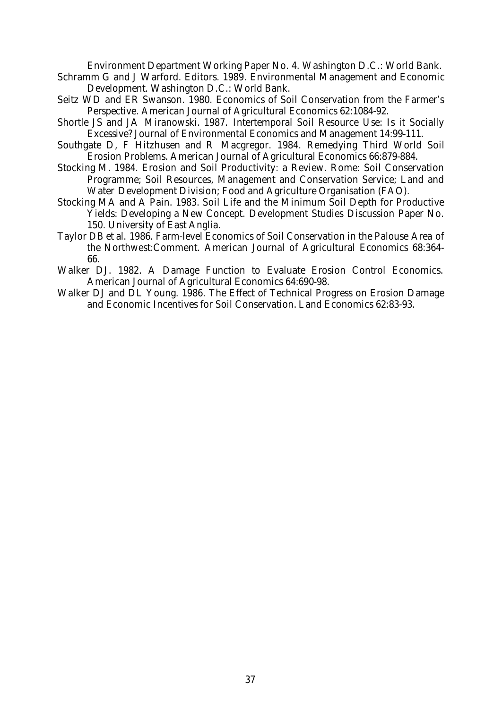Environment Department Working Paper No. 4. Washington D.C.: World Bank.

- Schramm G and J Warford. Editors. 1989. *Environmental Management and Economic Development*. Washington D.C.: World Bank.
- Seitz WD and ER Swanson. 1980. Economics of Soil Conservation from the Farmer's Perspective. *American Journal of Agricultural Economics* 62:1084-92.
- Shortle JS and JA Miranowski. 1987. Intertemporal Soil Resource Use: Is it Socially Excessive? *Journal of Environmental Economics and Management* 14:99-111.
- Southgate D, F Hitzhusen and R Macgregor. 1984. Remedying Third World Soil Erosion Problems. *American Journal of Agricultural Economics* 66:879-884.
- Stocking M. 1984. *Erosion and Soil Productivity: a Review*. Rome: Soil Conservation Programme; Soil Resources, Management and Conservation Service; Land and Water Development Division; Food and Agriculture Organisation (FAO).
- Stocking MA and A Pain. 1983. *Soil Life and the Minimum Soil Depth for Productive Yields: Developing a New Concept*. Development Studies Discussion Paper No. 150. University of East Anglia.
- Taylor DB *et al.* 1986. Farm-level Economics of Soil Conservation in the Palouse Area of the Northwest:Comment. *American Journal of Agricultural Economics* 68:364- 66.
- Walker DJ. 1982. A Damage Function to Evaluate Erosion Control Economics. *American Journal of Agricultural Economics* 64:690-98.
- Walker DJ and DL Young. 1986. The Effect of Technical Progress on Erosion Damage and Economic Incentives for Soil Conservation. *Land Economics* 62:83-93.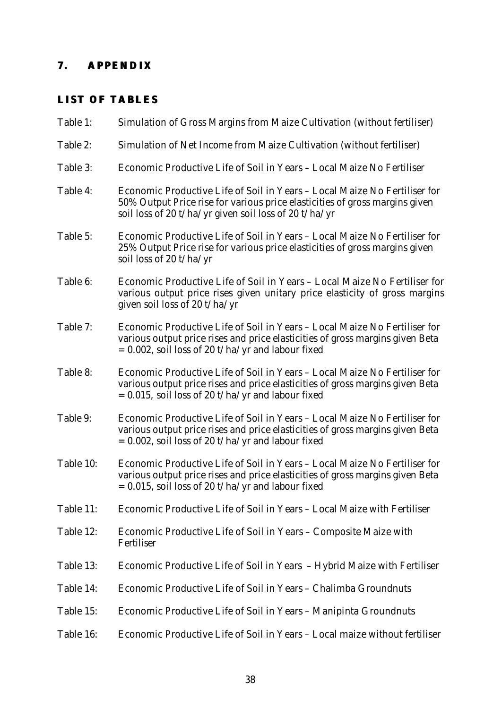# **7. APPENDIX**

# **LIST OF TABLES**

| Table 1:  | Simulation of Gross Margins from Maize Cultivation (without fertiliser)                                                                                                                                            |
|-----------|--------------------------------------------------------------------------------------------------------------------------------------------------------------------------------------------------------------------|
| Table 2:  | Simulation of Net Income from Maize Cultivation (without fertiliser)                                                                                                                                               |
| Table 3:  | Economic Productive Life of Soil in Years - Local Maize No Fertiliser                                                                                                                                              |
| Table 4:  | Economic Productive Life of Soil in Years - Local Maize No Fertiliser for<br>50% Output Price rise for various price elasticities of gross margins given<br>soil loss of 20 t/ha/yr given soil loss of 20 t/ha/yr  |
| Table 5:  | Economic Productive Life of Soil in Years - Local Maize No Fertiliser for<br>25% Output Price rise for various price elasticities of gross margins given<br>soil loss of 20 t/ha/yr                                |
| Table 6:  | Economic Productive Life of Soil in Years - Local Maize No Fertiliser for<br>various output price rises given unitary price elasticity of gross margins<br>given soil loss of 20 t/ha/yr                           |
| Table 7:  | Economic Productive Life of Soil in Years - Local Maize No Fertiliser for<br>various output price rises and price elasticities of gross margins given Beta<br>$= 0.002$ , soil loss of 20 t/ha/yr and labour fixed |
| Table 8:  | Economic Productive Life of Soil in Years - Local Maize No Fertiliser for<br>various output price rises and price elasticities of gross margins given Beta<br>$= 0.015$ , soil loss of 20 t/ha/yr and labour fixed |
| Table 9:  | Economic Productive Life of Soil in Years - Local Maize No Fertiliser for<br>various output price rises and price elasticities of gross margins given Beta<br>$= 0.002$ , soil loss of 20 t/ha/yr and labour fixed |
| Table 10: | Economic Productive Life of Soil in Years - Local Maize No Fertiliser for<br>various output price rises and price elasticities of gross margins given Beta<br>$= 0.015$ , soil loss of 20 t/ha/yr and labour fixed |
| Table 11: | Economic Productive Life of Soil in Years - Local Maize with Fertiliser                                                                                                                                            |
| Table 12: | Economic Productive Life of Soil in Years - Composite Maize with<br>Fertiliser                                                                                                                                     |
| Table 13: | Economic Productive Life of Soil in Years - Hybrid Maize with Fertiliser                                                                                                                                           |
| Table 14: | Economic Productive Life of Soil in Years - Chalimba Groundnuts                                                                                                                                                    |
| Table 15: | Economic Productive Life of Soil in Years - Manipinta Groundnuts                                                                                                                                                   |
| Table 16: | Economic Productive Life of Soil in Years - Local maize without fertiliser                                                                                                                                         |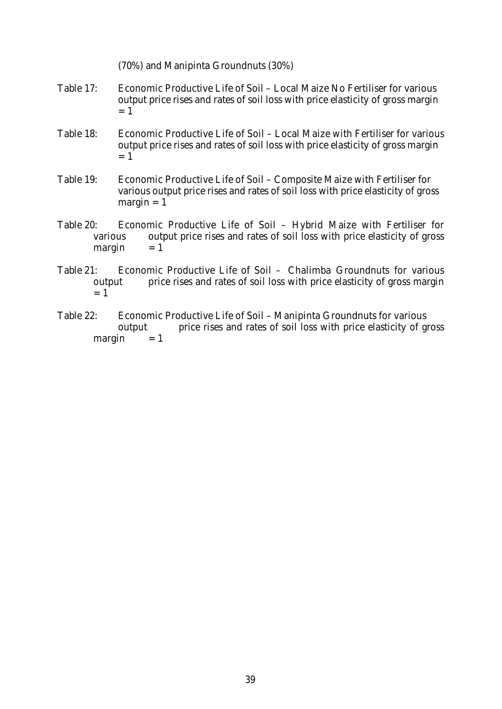(70%) and Manipinta Groundnuts (30%)

- Table 17: Economic Productive Life of Soil Local Maize No Fertiliser for various output price rises and rates of soil loss with price elasticity of gross margin  $= 1$
- Table 18: Economic Productive Life of Soil Local Maize with Fertiliser for various output price rises and rates of soil loss with price elasticity of gross margin  $= 1$
- Table 19: Economic Productive Life of Soil Composite Maize with Fertiliser for various output price rises and rates of soil loss with price elasticity of gross  $margin = 1$
- Table 20: Economic Productive Life of Soil Hybrid Maize with Fertiliser for various output price rises and rates of soil loss with price elasticity of gross margin  $= 1$
- Table 21: Economic Productive Life of Soil Chalimba Groundnuts for various output price rises and rates of soil loss with price elasticity of gross margin  $= 1$
- Table 22: Economic Productive Life of Soil Manipinta Groundnuts for various output price rises and rates of soil loss with price elasticity of gross margin  $= 1$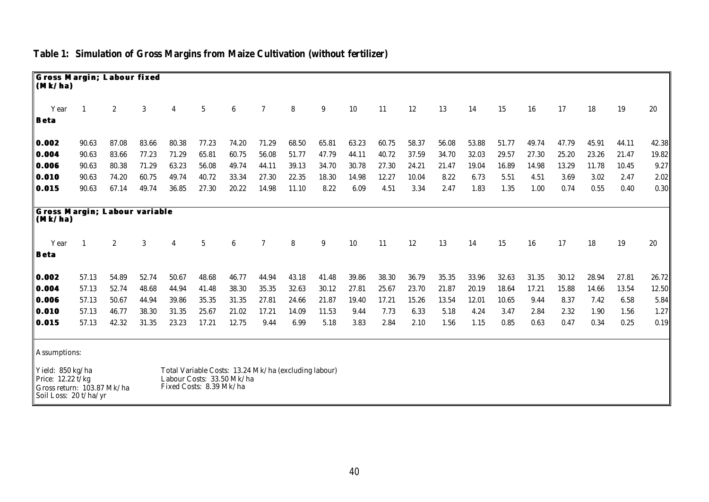| <b>Gross Margin; Labour fixed</b><br>(Mk/ha)                                                   |                |              |       |       |                         |                           |                |                                                      |       |        |       |       |       |       |       |       |       |       |       |       |
|------------------------------------------------------------------------------------------------|----------------|--------------|-------|-------|-------------------------|---------------------------|----------------|------------------------------------------------------|-------|--------|-------|-------|-------|-------|-------|-------|-------|-------|-------|-------|
| Year                                                                                           | $\mathbf{1}$   | $\mathbf{2}$ | 3     | 4     | $\overline{5}$          | 6                         | $\overline{7}$ | 8                                                    | 9     | 10     | 11    | 12    | 13    | 14    | 15    | 16    | 17    | 18    | 19    | 20    |
| Beta                                                                                           |                |              |       |       |                         |                           |                |                                                      |       |        |       |       |       |       |       |       |       |       |       |       |
| 0.002                                                                                          | 90.63          | 87.08        | 83.66 | 80.38 | 77.23                   | 74.20                     | 71.29          | 68.50                                                | 65.81 | 63.23  | 60.75 | 58.37 | 56.08 | 53.88 | 51.77 | 49.74 | 47.79 | 45.91 | 44.11 | 42.38 |
| 0.004                                                                                          | 90.63          | 83.66        | 77.23 | 71.29 | 65.81                   | 60.75                     | 56.08          | 51.77                                                | 47.79 | 44.11  | 40.72 | 37.59 | 34.70 | 32.03 | 29.57 | 27.30 | 25.20 | 23.26 | 21.47 | 19.82 |
| 0.006                                                                                          | 90.63          | 80.38        | 71.29 | 63.23 | 56.08                   | 49.74                     | 44.11          | 39.13                                                | 34.70 | 30.78  | 27.30 | 24.21 | 21.47 | 19.04 | 16.89 | 14.98 | 13.29 | 11.78 | 10.45 | 9.27  |
| 0.010                                                                                          | 90.63          | 74.20        | 60.75 | 49.74 | 40.72                   | 33.34                     | 27.30          | 22.35                                                | 18.30 | 14.98  | 12.27 | 10.04 | 8.22  | 6.73  | 5.51  | 4.51  | 3.69  | 3.02  | 2.47  | 2.02  |
| 0.015                                                                                          | 90.63          | 67.14        | 49.74 | 36.85 | 27.30                   | 20.22                     | 14.98          | 11.10                                                | 8.22  | 6.09   | 4.51  | 3.34  | 2.47  | 1.83  | 1.35  | 1.00  | 0.74  | 0.55  | 0.40  | 0.30  |
| Gross Margin; Labour variable<br>(Mk/ha)                                                       |                |              |       |       |                         |                           |                |                                                      |       |        |       |       |       |       |       |       |       |       |       |       |
| Year                                                                                           | $\overline{1}$ | $\mathbf{2}$ | 3     | 4     | $\overline{5}$          | 6                         | $\overline{7}$ | 8                                                    | 9     | $10\,$ | 11    | 12    | 13    | 14    | 15    | 16    | 17    | 18    | 19    | 20    |
| Beta                                                                                           |                |              |       |       |                         |                           |                |                                                      |       |        |       |       |       |       |       |       |       |       |       |       |
| <b>0.002</b>                                                                                   | 57.13          | 54.89        | 52.74 | 50.67 | 48.68                   | 46.77                     | 44.94          | 43.18                                                | 41.48 | 39.86  | 38.30 | 36.79 | 35.35 | 33.96 | 32.63 | 31.35 | 30.12 | 28.94 | 27.81 | 26.72 |
| 0.004                                                                                          | 57.13          | 52.74        | 48.68 | 44.94 | 41.48                   | 38.30                     | 35.35          | 32.63                                                | 30.12 | 27.81  | 25.67 | 23.70 | 21.87 | 20.19 | 18.64 | 17.21 | 15.88 | 14.66 | 13.54 | 12.50 |
| 0.006                                                                                          | 57.13          | 50.67        | 44.94 | 39.86 | 35.35                   | 31.35                     | 27.81          | 24.66                                                | 21.87 | 19.40  | 17.21 | 15.26 | 13.54 | 12.01 | 10.65 | 9.44  | 8.37  | 7.42  | 6.58  | 5.84  |
| 0.010                                                                                          | 57.13          | 46.77        | 38.30 | 31.35 | 25.67                   | 21.02                     | 17.21          | 14.09                                                | 11.53 | 9.44   | 7.73  | 6.33  | 5.18  | 4.24  | 3.47  | 2.84  | 2.32  | 1.90  | 1.56  | 1.27  |
| 0.015                                                                                          | 57.13          | 42.32        | 31.35 | 23.23 | 17.21                   | 12.75                     | 9.44           | 6.99                                                 | 5.18  | 3.83   | 2.84  | 2.10  | 1.56  | 1.15  | 0.85  | 0.63  | 0.47  | 0.34  | 0.25  | 0.19  |
| Assumptions:                                                                                   |                |              |       |       |                         |                           |                |                                                      |       |        |       |       |       |       |       |       |       |       |       |       |
| Yield: 850 kg/ha<br>Price: 12.22 t/kg<br>Gross return: 103.87 Mk/ha<br>Soil Loss: $20 t/ha/yr$ |                |              |       |       | Fixed Costs: 8.39 Mk/ha | Labour Costs: 33.50 Mk/ha |                | Total Variable Costs: 13.24 Mk/ha (excluding labour) |       |        |       |       |       |       |       |       |       |       |       |       |

# **Table 1: Simulation of Gross Margins from Maize Cultivation (without fertilizer)**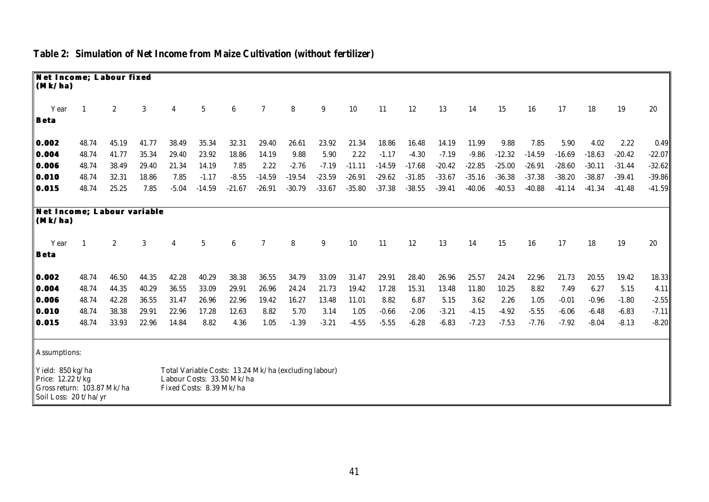| Net Income; Labour fixed<br>(Mk/ha)                                                          |                |              |            |                |                         |                           |          |                                                      |          |          |          |          |          |          |          |          |          |          |          |          |
|----------------------------------------------------------------------------------------------|----------------|--------------|------------|----------------|-------------------------|---------------------------|----------|------------------------------------------------------|----------|----------|----------|----------|----------|----------|----------|----------|----------|----------|----------|----------|
| Year                                                                                         | -1             | $\mathbf{2}$ | 3          | 4              | $\sqrt{5}$              | 6                         | $\tau$   | 8                                                    | 9        | 10       | 11       | 12       | 13       | 14       | 15       | 16       | 17       | 18       | 19       | 20       |
| <b>Beta</b>                                                                                  |                |              |            |                |                         |                           |          |                                                      |          |          |          |          |          |          |          |          |          |          |          |          |
| 0.002                                                                                        | 48.74          | 45.19        | 41.77      | 38.49          | 35.34                   | 32.31                     | 29.40    | 26.61                                                | 23.92    | 21.34    | 18.86    | 16.48    | 14.19    | 11.99    | 9.88     | 7.85     | 5.90     | 4.02     | 2.22     | 0.49     |
| 0.004                                                                                        | 48.74          | 41.77        | 35.34      | 29.40          | 23.92                   | 18.86                     | 14.19    | 9.88                                                 | 5.90     | 2.22     | $-1.17$  | $-4.30$  | $-7.19$  | $-9.86$  | $-12.32$ | $-14.59$ | $-16.69$ | $-18.63$ | $-20.42$ | $-22.07$ |
| 0.006                                                                                        | 48.74          | 38.49        | 29.40      | 21.34          | 14.19                   | 7.85                      | 2.22     | $-2.76$                                              | $-7.19$  | $-11.11$ | $-14.59$ | $-17.68$ | $-20.42$ | $-22.85$ | $-25.00$ | $-26.91$ | $-28.60$ | $-30.11$ | $-31.44$ | $-32.62$ |
| 0.010                                                                                        | 48.74          | 32.31        | 18.86      | 7.85           | $-1.17$                 | $-8.55$                   | $-14.59$ | $-19.54$                                             | $-23.59$ | $-26.91$ | $-29.62$ | $-31.85$ | $-33.67$ | $-35.16$ | $-36.38$ | $-37.38$ | $-38.20$ | $-38.87$ | $-39.41$ | $-39.86$ |
| 0.015                                                                                        | 48.74          | 25.25        | 7.85       | $-5.04$        | $-14.59$                | $-21.67$                  | $-26.91$ | $-30.79$                                             | $-33.67$ | $-35.80$ | $-37.38$ | $-38.55$ | $-39.41$ | $-40.06$ | $-40.53$ | $-40.88$ | $-41.14$ | $-41.34$ | $-41.48$ | $-41.59$ |
| Net Income; Labour variable<br>(Mk/ha)                                                       |                |              |            |                |                         |                           |          |                                                      |          |          |          |          |          |          |          |          |          |          |          |          |
| Year                                                                                         | $\overline{1}$ | $\mathbf{2}$ | $\sqrt{3}$ | $\overline{4}$ | $\overline{5}$          | 6                         | $\tau$   | 8                                                    | 9        | 10       | 11       | 12       | 13       | 14       | 15       | 16       | 17       | 18       | 19       | 20       |
| <b>Beta</b>                                                                                  |                |              |            |                |                         |                           |          |                                                      |          |          |          |          |          |          |          |          |          |          |          |          |
| 0.002                                                                                        | 48.74          | 46.50        | 44.35      | 42.28          | 40.29                   | 38.38                     | 36.55    | 34.79                                                | 33.09    | 31.47    | 29.91    | 28.40    | 26.96    | 25.57    | 24.24    | 22.96    | 21.73    | 20.55    | 19.42    | 18.33    |
| 0.004                                                                                        | 48.74          | 44.35        | 40.29      | 36.55          | 33.09                   | 29.91                     | 26.96    | 24.24                                                | 21.73    | 19.42    | 17.28    | 15.31    | 13.48    | 11.80    | 10.25    | 8.82     | 7.49     | 6.27     | 5.15     | 4.11     |
| 0.006                                                                                        | 48.74          | 42.28        | 36.55      | 31.47          | 26.96                   | 22.96                     | 19.42    | 16.27                                                | 13.48    | 11.01    | 8.82     | 6.87     | 5.15     | 3.62     | 2.26     | 1.05     | $-0.01$  | $-0.96$  | $-1.80$  | $-2.55$  |
| 0.010                                                                                        | 48.74          | 38.38        | 29.91      | 22.96          | 17.28                   | 12.63                     | 8.82     | 5.70                                                 | 3.14     | 1.05     | $-0.66$  | $-2.06$  | $-3.21$  | $-4.15$  | $-4.92$  | $-5.55$  | $-6.06$  | $-6.48$  | $-6.83$  | $-7.11$  |
| 0.015                                                                                        | 48.74          | 33.93        | 22.96      | 14.84          | 8.82                    | 4.36                      | 1.05     | $-1.39$                                              | $-3.21$  | $-4.55$  | $-5.55$  | $-6.28$  | $-6.83$  | $-7.23$  | $-7.53$  | $-7.76$  | $-7.92$  | $-8.04$  | $-8.13$  | $-8.20$  |
| Assumptions:                                                                                 |                |              |            |                |                         |                           |          |                                                      |          |          |          |          |          |          |          |          |          |          |          |          |
| Yield: 850 kg/ha<br>Price: 12.22 t/kg<br>Gross return: 103.87 Mk/ha<br>Soil Loss: 20 t/ha/yr |                |              |            |                | Fixed Costs: 8.39 Mk/ha | Labour Costs: 33.50 Mk/ha |          | Total Variable Costs: 13.24 Mk/ha (excluding labour) |          |          |          |          |          |          |          |          |          |          |          |          |

# **Table 2: Simulation of Net Income from Maize Cultivation (without fertilizer)**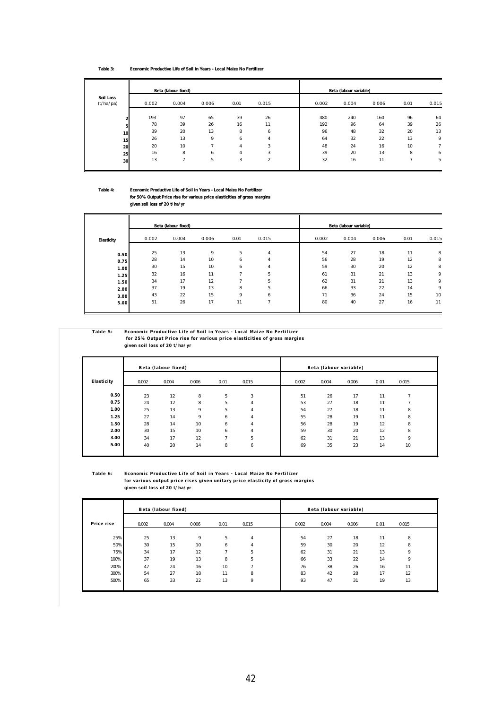#### **Table 3: Economic Productive Life of Soil in Years - Local Maize No Fertilizer**

|                        |       | Beta (labour fixed) |       |                |                |       | Beta (labour variable) |       |      |       |
|------------------------|-------|---------------------|-------|----------------|----------------|-------|------------------------|-------|------|-------|
| Soil Loss<br>(t/ha/pa) | 0.002 | 0.004               | 0.006 | 0.01           | 0.015          | 0.002 | 0.004                  | 0.006 | 0.01 | 0.015 |
|                        | 193   | 97                  | 65    | 39             | 26             | 480   | 240                    | 160   | 96   | 64    |
|                        | 78    | 39                  | 26    | 16             | 11             | 192   | 96                     | 64    | 39   | 26    |
| 10 <sup>1</sup>        | 39    | 20                  | 13    | 8              | 6              | 96    | 48                     | 32    | 20   | 13    |
| 15                     | 26    | 13                  | 9     | 6              | 4              | 64    | 32                     | 22    | 13   | 9     |
| 20                     | 20    | 10                  |       | $\overline{4}$ | 3              | 48    | 24                     | 16    | 10   | 7     |
| 25                     | 16    | 8                   | 6     | $\overline{4}$ | 3              | 39    | 20                     | 13    | 8    | 6     |
| 30                     | 13    | -                   | 5     | 3              | $\overline{2}$ | 32    | 16                     | 11    | ⇁    | 5     |

#### **Table 4: Economic Productive Life of Soil in Years - Local Maize No Fertilizer for 50% Output Price rise for various price elasticities of gross margins**

**given soil loss of 20 t/ha/yr**

|            |       | Beta (labour fixed) |       |      |                |       | Beta (labour variable) |       |      |       |
|------------|-------|---------------------|-------|------|----------------|-------|------------------------|-------|------|-------|
| Elasticity | 0.002 | 0.004               | 0.006 | 0.01 | 0.015          | 0.002 | 0.004                  | 0.006 | 0.01 | 0.015 |
| 0.50       | 25    | 13                  | 9     | 5    | 4              | 54    | 27                     | 18    | 11   | 8     |
| 0.75       | 28    | 14                  | 10    | 6    | 4              | 56    | 28                     | 19    | 12   | 8     |
| 1.00       | 30    | 15                  | 10    | 6    | 4              | 59    | 30                     | 20    | 12   | 8     |
| 1.25       | 32    | 16                  | 11    | -    | 5              | 61    | 31                     | 21    | 13   | 9     |
| 1.50       | 34    | 17                  | 12    | -    | 5              | 62    | 31                     | 21    | 13   | 9     |
| 2.00       | 37    | 19                  | 13    | 8    | 5              | 66    | 33                     | 22    | 14   | 9     |
| 3.00       | 43    | 22                  | 15    | 9    | 6              | 71    | 36                     | 24    | 15   | 10    |
| 5.00       | 51    | 26                  | 17    | 11   | $\overline{ }$ | 80    | 40                     | 27    | 16   | 11    |
|            |       |                     |       |      |                |       |                        |       |      |       |

#### **Table 5: Economic Productive Life of Soil in Years - Local Maize No Fertilizer for 25% Output Price rise for various price elasticities of gross margins given soil loss of 20 t/ha/yr**

|            |       | Beta (labour fixed) |       |                |                | Beta (labour variable) |       |       |       |      |       |  |
|------------|-------|---------------------|-------|----------------|----------------|------------------------|-------|-------|-------|------|-------|--|
| Elasticity | 0.002 | 0.004               | 0.006 | 0.01           | 0.015          |                        | 0.002 | 0.004 | 0.006 | 0.01 | 0.015 |  |
| 0.50       | 23    | 12                  | 8     | 5              | 3              |                        | 51    | 26    | 17    | 11   | -     |  |
| 0.75       | 24    | 12                  | 8     | 5              | $\overline{4}$ |                        | 53    | 27    | 18    | 11   | -     |  |
| 1.00       | 25    | 13                  | 9     | 5              | $\overline{4}$ |                        | 54    | 27    | 18    | 11   | 8     |  |
| 1.25       | 27    | 14                  | 9     | 6              | 4              |                        | 55    | 28    | 19    | 11   | 8     |  |
| 1.50       | 28    | 14                  | 10    | 6              | 4              |                        | 56    | 28    | 19    | 12   | 8     |  |
| 2.00       | 30    | 15                  | 10    | 6              | $\overline{4}$ |                        | 59    | 30    | 20    | 12   | 8     |  |
| 3.00       | 34    | 17                  | 12    | $\overline{ }$ | 5              |                        | 62    | 31    | 21    | 13   | 9     |  |
| 5.00       | 40    | 20                  | 14    | 8              | 6              |                        | 69    | 35    | 23    | 14   | 10    |  |
|            |       |                     |       |                |                |                        |       |       |       |      |       |  |

#### **Table 6: Economic Productive Life of Soil in Years - Local Maize No Fertilizer for various output price rises given unitary price elasticity of gross margins given soil loss of 20 t/ha/yr**

|            |       | Beta (labour fixed) |       |      |                |       | Beta (labour variable) |       |      |             |  |  |
|------------|-------|---------------------|-------|------|----------------|-------|------------------------|-------|------|-------------|--|--|
| Price rise | 0.002 | 0.004               | 0.006 | 0.01 | 0.015          | 0.002 | 0.004                  | 0.006 | 0.01 | 0.015       |  |  |
|            |       |                     |       |      |                |       |                        |       |      |             |  |  |
| 25%        | 25    | 13                  | 9     | 5    | $\overline{4}$ | 54    | 27                     | 18    | 11   | 8           |  |  |
| 50%        | 30    | 15                  | 10    | 6    | $\overline{4}$ | 59    | 30                     | 20    | 12   | 8           |  |  |
| 75%        | 34    | 17                  | 12    | -    | 5              | 62    | 31                     | 21    | 13   | $\mathsf Q$ |  |  |
| 100%       | 37    | 19                  | 13    | 8    | 5              | 66    | 33                     | 22    | 14   | 9           |  |  |
| 200%       | 47    | 24                  | 16    | 10   | -              | 76    | 38                     | 26    | 16   | 11          |  |  |
| 300%       | 54    | 27                  | 18    | 11   | 8              | 83    | 42                     | 28    | 17   | 12          |  |  |
| 500%       | 65    | 33                  | 22    | 13   | 9              | 93    | 47                     | 31    | 19   | 13          |  |  |
|            |       |                     |       |      |                |       |                        |       |      |             |  |  |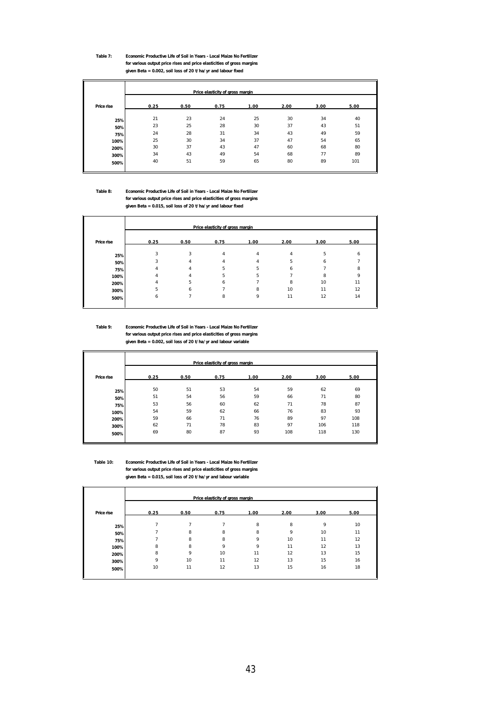#### **Table 7: Economic Productive Life of Soil in Years - Local Maize No Fertilizer for various output price rises and price elasticities of gross margins given Beta = 0.002, soil loss of 20 t/ha/yr and labour fixed**

|            |      |      | Price elasticity of gross margin |      |      |      |      |
|------------|------|------|----------------------------------|------|------|------|------|
| Price rise | 0.25 | 0.50 | 0.75                             | 1.00 | 2.00 | 3.00 | 5.00 |
| 25%        | 21   | 23   | 24                               | 25   | 30   | 34   | 40   |
| 50%        | 23   | 25   | 28                               | 30   | 37   | 43   | 51   |
| 75%        | 24   | 28   | 31                               | 34   | 43   | 49   | 59   |
| 100%       | 25   | 30   | 34                               | 37   | 47   | 54   | 65   |
| 200%       | 30   | 37   | 43                               | 47   | 60   | 68   | 80   |
| 300%       | 34   | 43   | 49                               | 54   | 68   | 77   | 89   |
| 500%       | 40   | 51   | 59                               | 65   | 80   | 89   | 101  |

#### **Table 8: Economic Productive Life of Soil in Years - Local Maize No Fertilizer for various output price rises and price elasticities of gross margins given Beta = 0.015, soil loss of 20 t/ha/yr and labour fixed**

|            |      |      | Price elasticity of gross margin |      |      |      |      |  |
|------------|------|------|----------------------------------|------|------|------|------|--|
| Price rise | 0.25 | 0.50 | 0.75                             | 1.00 | 2.00 | 3.00 | 5.00 |  |
|            |      |      |                                  |      |      |      |      |  |
| 25%        | 3    | 3    | 4                                | 4    | 4    | 5    | 6    |  |
| 50%        | 3    | 4    | Δ                                | 4    | 5    | h    |      |  |
| 75%        | 4    | 4    | 5                                | 5    | 6    |      | 8    |  |
| 100%       | 4    | 4    | 5                                | 5    |      | 8    | Q    |  |
| 200%       | 4    | 5    | 6                                |      | 8    | 10   | 11   |  |
| 300%       | 5    | ь    |                                  | 8    | 10   | 11   | 12   |  |
| 500%       | 6    |      | 8                                | 9    | 11   | 12   | 14   |  |
|            |      |      |                                  |      |      |      |      |  |

**Table 9: Economic Productive Life of Soil in Years - Local Maize No Fertilizer for various output price rises and price elasticities of gross margins given Beta = 0.002, soil loss of 20 t/ha/yr and labour variable**

|            |      |      | Price elasticity of gross margin |      |      |      |      |
|------------|------|------|----------------------------------|------|------|------|------|
| Price rise | 0.25 | 0.50 | 0.75                             | 1.00 | 2.00 | 3.00 | 5.00 |
|            |      |      |                                  |      |      |      |      |
| 25%        | 50   | 51   | 53                               | 54   | 59   | 62   | 69   |
| 50%        | 51   | 54   | 56                               | 59   | 66   | 71   | 80   |
| 75%        | 53   | 56   | 60                               | 62   | 71   | 78   | 87   |
| 100%       | 54   | 59   | 62                               | 66   | 76   | 83   | 93   |
| 200%       | 59   | 66   | 71                               | 76   | 89   | 97   | 108  |
| 300%       | 62   | 71   | 78                               | 83   | 97   | 106  | 118  |
| 500%       | 69   | 80   | 87                               | 93   | 108  | 118  | 130  |

**Table 10: Economic Productive Life of Soil in Years - Local Maize No Fertilizer for various output price rises and price elasticities of gross margins**

**given Beta = 0.015, soil loss of 20 t/ha/yr and labour variable**

|            |      |      | Price elasticity of gross margin |      |      |      |      |  |
|------------|------|------|----------------------------------|------|------|------|------|--|
| Price rise | 0.25 | 0.50 | 0.75                             | 1.00 | 2.00 | 3.00 | 5.00 |  |
| 25%        | 7    | 7    |                                  | 8    | 8    | 9    | 10   |  |
| 50%        | 7    | 8    | 8                                | 8    | 9    | 10   | 11   |  |
| 75%        | ⇁    | 8    | 8                                | 9    | 10   | 11   | 12   |  |
| 100%       | 8    | 8    | 9                                | 9    | 11   | 12   | 13   |  |
| 200%       | 8    | 9    | 10                               | 11   | 12   | 13   | 15   |  |
| 300%       | 9    | 10   | 11                               | 12   | 13   | 15   | 16   |  |
| 500%       | 10   | 11   | 12                               | 13   | 15   | 16   | 18   |  |
|            |      |      |                                  |      |      |      |      |  |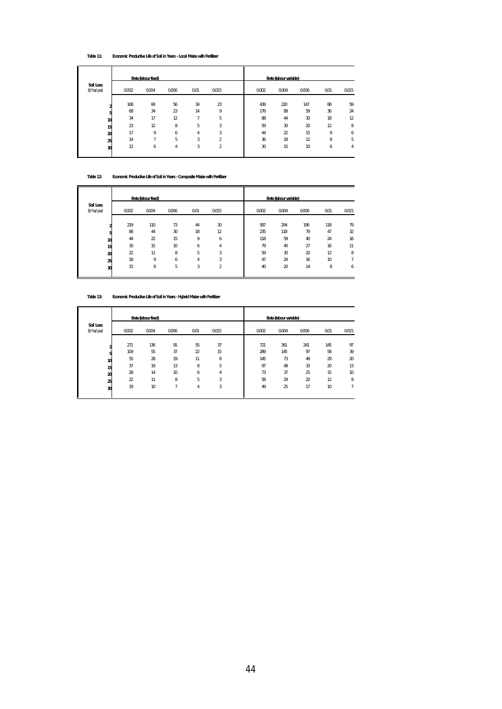#### **Table 11: Economic Productive Life of Soil in Years - Local Maize with Fertilizer**

|                        |       | Beta (labour fixed)      |       |                |                | Beta (labour variable)          |       |
|------------------------|-------|--------------------------|-------|----------------|----------------|---------------------------------|-------|
| Soil Loss<br>(t/ha/pa) | 0.002 | 0.004                    | 0.006 | 0.01           | 0.015          | 0.004<br>0.002<br>0.006<br>0.01 | 0.015 |
|                        | 168   | 84                       | 56    | 34             | 23             | 439<br>220<br>147<br>88         | 59    |
|                        | 68    | 34                       | 23    | 14             | 9              | 176<br>88<br>59<br>36           | 24    |
| 10                     | 34    | 17                       | 12    | 7              | 5              | 88<br>18<br>44<br>30            | 12    |
| 15                     | 23    | 12                       | 8     | 5              | 3              | 59<br>30<br>$\infty$<br>12      | 8     |
| 20                     | 17    | 9                        | 6     | $\overline{4}$ | 3              | 15<br>9<br>44<br>22             | 6     |
| 25                     | 14    | $\overline{\phantom{a}}$ | 5     | 3              | $\overline{2}$ | 36<br>12<br>8<br>18             | 5     |
| 30                     | 12    | 6                        | 4     | 3              | 2              | 15<br>30<br>10<br>6             | 4     |
|                        |       |                          |       |                |                |                                 |       |

#### **Table 12: Economic Productive Life of Soil in Years - Composite Maize with Fertilizer**

|                        |                | Beta (labour fixed) |       |      |                |      | Beta (labour variable) |          |      |       |
|------------------------|----------------|---------------------|-------|------|----------------|------|------------------------|----------|------|-------|
| Soil Loss<br>(t/na/pa) | 0002           | 0004                | 0.006 | 0.01 | 0.015          | 0002 | 0.004                  | 0006     | 0.01 | 0.015 |
|                        | 219            | 110                 | 73    | 44   | 30             | 587  | 294                    | 196      | 118  | 79    |
|                        | 88             | 44                  | 30    | 18   | 12             | 235  | 118                    | 79       | 47   | 32    |
| 10                     | 44             | $\mathfrak{D}$      | 15    | 9    | 6              | 118  | 59                     | 40       | 24   | 16    |
| 15                     | 30             | 15                  | 10    | 6    | 4              | 79   | 40                     | 27       | 16   | 11    |
| 20                     | $\overline{2}$ | 11                  | 8     | 5    | 3              | 59   | 30                     | $\infty$ | 12   | 8     |
| 25                     | 18             | 9                   | 6     | 4    | 3              | 47   | 24                     | 16       | 10   | ∍     |
| 30                     | 15             | 8                   | 5     | 3    | $\overline{2}$ | 40   | 20                     | 14       | 8    | 6     |

### **Table 13: Economic Productive Life of Soil in Years - Hybrid Maize with Fertilizer**

|                        |                | Beta (labour fixed) |                          |      |       |       | Beta (labour variable) |      |      |          |
|------------------------|----------------|---------------------|--------------------------|------|-------|-------|------------------------|------|------|----------|
| Soil Loss<br>(t/ha/pa) | 0002           | 0.004               | 0.006                    | 0.01 | 0.015 | 0.002 | 0004                   | 0006 | 0.01 | 0.015    |
|                        | 271            | 136                 | 91                       | 55   | 37    | 721   | 361                    | 241  | 145  | 97       |
|                        | 109            | 55                  | 37                       | 22   | 15    | 289   | 145                    | 97   | 58   | 39       |
| 10                     | 55             | 28                  | 19                       | 11   | 8     | 145   | 73                     | 49   | 29   | $\infty$ |
| 15                     | 37             | 19                  | 13                       | 8    | 5     | 97    | 49                     | 33   | 20   | 13       |
| 20                     | 28             | 14                  | 10                       | 6    | 4     | 73    | 37                     | 25   | 15   | 10       |
| 25                     | $\overline{2}$ | 11                  | 8                        | 5    | 3     | 58    | 29                     | 20   | 12   | 8        |
| 30                     | 19             | 10                  | $\overline{\phantom{a}}$ | 4    | 3     | 49    | 25                     | 17   | 10   | 7        |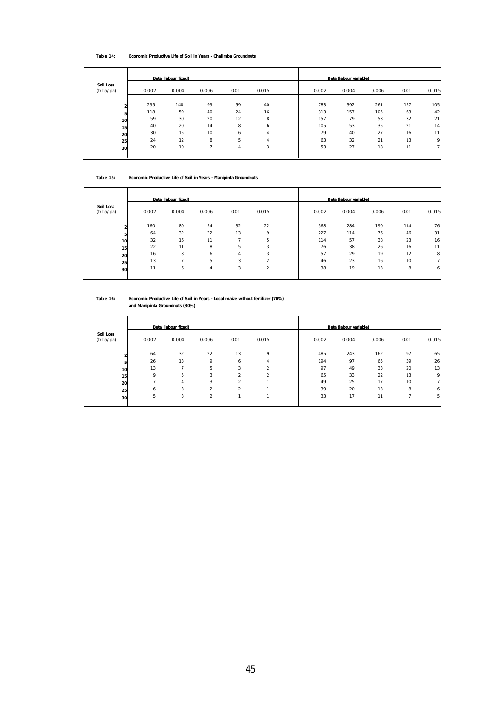#### **Table 14: Economic Productive Life of Soil in Years - Chalimba Groundnuts**

|                        |       | Beta (labour fixed) |       |                |                |       | Beta (labour variable) |       |      |             |
|------------------------|-------|---------------------|-------|----------------|----------------|-------|------------------------|-------|------|-------------|
| Soil Loss<br>(t/ha/pa) | 0.002 | 0.004               | 0.006 | 0.01           | 0.015          | 0.002 | 0.004                  | 0.006 | 0.01 | 0.015       |
|                        | 295   | 148                 | 99    | 59             | 40             | 783   | 392                    | 261   | 157  | 105         |
|                        | 118   | 59                  | 40    | 24             | 16             | 313   | 157                    | 105   | 63   | 42          |
| 10                     | 59    | 30                  | 20    | 12             | 8              | 157   | 79                     | 53    | 32   | 21          |
| 15                     | 40    | 20                  | 14    | 8              | 6              | 105   | 53                     | 35    | 21   | 14          |
| 20                     | 30    | 15                  | 10    | 6              | 4              | 79    | 40                     | 27    | 16   | 11          |
| 25                     | 24    | 12                  | 8     | 5              | $\overline{4}$ | 63    | 32                     | 21    | 13   | 9           |
| 30                     | 20    | 10                  | -     | $\overline{4}$ | 3              | 53    | 27                     | 18    | 11   | $7^{\circ}$ |

#### **Table 15: Economic Productive Life of Soil in Years - Manipinta Groundnuts**

|           |       | Beta (labour fixed) |                |                |       |       | Beta (labour variable) |       |      |       |
|-----------|-------|---------------------|----------------|----------------|-------|-------|------------------------|-------|------|-------|
| Soil Loss |       |                     |                |                |       |       |                        |       |      |       |
| (t/ha/pa) | 0.002 | 0.004               | 0.006          | 0.01           | 0.015 | 0.002 | 0.004                  | 0.006 | 0.01 | 0.015 |
|           | 160   | 80                  | 54             | 32             | 22    | 568   | 284                    | 190   | 114  | 76    |
|           |       |                     |                |                |       |       |                        |       |      |       |
|           | 64    | 32                  | 22             | 13             | 9     | 227   | 114                    | 76    | 46   | 31    |
| 10        | 32    | 16                  | 11             | -              | 5     | 114   | 57                     | 38    | 23   | 16    |
| 15        | 22    | 11                  | 8              | 5              | 3     | 76    | 38                     | 26    | 16   | 11    |
| 20        | 16    | 8                   | 6              | $\overline{4}$ | 3     | 57    | 29                     | 19    | 12   | 8     |
| 25        | 13    | -                   | 5              | 3              | 2     | 46    | 23                     | 16    | 10   | ⇁     |
| 30        | 11    | 6                   | $\overline{4}$ | 3              | 2     | 38    | 19                     | 13    | 8    | 6     |
|           |       |                     |                |                |       |       |                        |       |      |       |

#### **Table 16: Economic Productive Life of Soil in Years - Local maize without fertilizer (70%) and Manipinta Groundnuts (30%)**

|                        |       | Beta (labour fixed) |       |                | Beta (labour variable) |       |       |       |      |       |
|------------------------|-------|---------------------|-------|----------------|------------------------|-------|-------|-------|------|-------|
| Soil Loss<br>(t/ha/pa) | 0.002 | 0.004               | 0.006 | 0.01           | 0.015                  | 0.002 | 0.004 | 0.006 | 0.01 | 0.015 |
|                        | 64    | 32                  | 22    | 13             | 9                      | 485   | 243   | 162   | 97   | 65    |
| 5                      | 26    | 13                  | 9     | 6              | 4                      | 194   | 97    | 65    | 39   | 26    |
| 10                     | 13    | -                   | 5     | 3              | $\overline{2}$         | 97    | 49    | 33    | 20   | 13    |
| 15                     | 9     | 5                   | 3     | $\overline{2}$ | $\overline{2}$         | 65    | 33    | 22    | 13   | 9     |
| 20                     | –     | 4                   | 3     | $\overline{2}$ |                        | 49    | 25    | 17    | 10   | ⇁     |
| 25                     | 6     | 3                   | 2     | $\overline{2}$ |                        | 39    | 20    | 13    | 8    | 6     |
| 30                     | 5     | 3                   | 2     |                |                        | 33    | 17    | 11    | -    | 5     |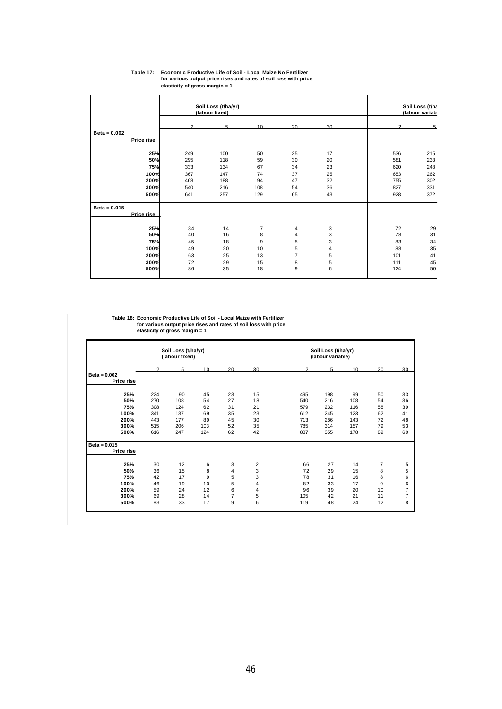#### **Table 17: Economic Productive Life of Soil - Local Maize No Fertilizer for various output price rises and rates of soil loss with price elasticity of gross margin = 1**

|                |     | Soil Loss (t/ha/yr)<br>(labour fixed) |                |                |                |     | Soil Loss (t/ha<br>(labour variab |
|----------------|-----|---------------------------------------|----------------|----------------|----------------|-----|-----------------------------------|
|                | C   | д                                     | 10             | 20             | 30             |     |                                   |
| $Beta = 0.002$ |     |                                       |                |                |                |     |                                   |
| Price rise     |     |                                       |                |                |                |     |                                   |
| 25%            | 249 | 100                                   | 50             | 25             | 17             | 536 | 215                               |
| 50%            | 295 | 118                                   | 59             | 30             | 20             | 581 | 233                               |
| 75%            | 333 | 134                                   | 67             | 34             | 23             | 620 | 248                               |
| 100%           | 367 | 147                                   | 74             | 37             | 25             | 653 | 262                               |
| 200%           | 468 | 188                                   | 94             | 47             | 32             | 755 | 302                               |
| 300%           | 540 | 216                                   | 108            | 54             | 36             | 827 | 331                               |
| 500%           | 641 | 257                                   | 129            | 65             | 43             | 928 | 372                               |
| Beta = $0.015$ |     |                                       |                |                |                |     |                                   |
| Price rise     |     |                                       |                |                |                |     |                                   |
| 25%            | 34  | 14                                    | $\overline{7}$ | 4              | 3              | 72  | 29                                |
| 50%            | 40  | 16                                    | 8              | $\overline{4}$ | 3              | 78  | 31                                |
| 75%            | 45  | 18                                    | 9              | 5              | 3              | 83  | 34                                |
| 100%           | 49  | 20                                    | 10             | 5              | $\overline{4}$ | 88  | 35                                |
| 200%           | 63  | 25                                    | 13             | $\overline{7}$ | 5              | 101 | 41                                |
| 300%           | 72  | 29                                    | 15             | 8              | 5              | 111 | 45                                |
| 500%           | 86  | 35                                    | 18             | 9              | 6              | 124 | 50                                |

**Table 18: Economic Productive Life of Soil - Local Maize with Fertilizer for various output price rises and rates of soil loss with price elasticity of gross margin = 1**

|                                     |            | Soil Loss (t/ha/yr)<br>(labour fixed) |            |                     |                | Soil Loss (t/ha/yr)<br>(labour variable) |            |            |                |                                  |  |
|-------------------------------------|------------|---------------------------------------|------------|---------------------|----------------|------------------------------------------|------------|------------|----------------|----------------------------------|--|
|                                     |            | 5                                     | 10         | 20                  | 30             |                                          | 5          | 10         | 20             | 30                               |  |
| $Beta = 0.002$<br>Price rise        |            |                                       |            |                     |                |                                          |            |            |                |                                  |  |
| 25%                                 | 224        | 90                                    | 45         | 23                  | 15             | 495                                      | 198        | 99         | 50             | 33                               |  |
| 50%<br>75%                          | 270<br>308 | 108<br>124                            | 54<br>62   | 27<br>31            | 18<br>21       | 540<br>579                               | 216<br>232 | 108<br>116 | 54<br>58       | 36<br>39                         |  |
| 100%                                | 341        | 137                                   | 69         | 35                  | 23             | 612                                      | 245        | 123        | 62             | 41                               |  |
| 200%                                | 443        | 177                                   | 89         | 45                  | 30             | 713                                      | 286        | 143        | 72             | 48                               |  |
| 300%<br>500%                        | 515<br>616 | 206<br>247                            | 103<br>124 | 52<br>62            | 35<br>42       | 785<br>887                               | 314<br>355 | 157<br>178 | 79<br>89       | 53<br>60                         |  |
| $Beta = 0.015$<br><b>Price rise</b> |            |                                       |            |                     |                |                                          |            |            |                |                                  |  |
| 25%                                 | 30         | 12                                    | 6          | 3                   | $\overline{2}$ | 66                                       | 27         | 14         | $\overline{7}$ | 5                                |  |
| 50%                                 | 36         | 15                                    | 8          | 4                   | 3              | 72                                       | 29         | 15         | 8              | 5                                |  |
| 75%                                 | 42         | 17                                    | 9          | 5                   | 3              | 78                                       | 31         | 16         | 8              | 6                                |  |
| 100%                                | 46         | 19                                    | 10         | 5                   | 4              | 82                                       | 33         | 17         | 9              | 6                                |  |
| 200%<br>300%                        | 59<br>69   | 24<br>28                              | 12<br>14   | 6<br>$\overline{7}$ | 4<br>5         | 96<br>105                                | 39<br>42   | 20<br>21   | 10<br>11       | $\overline{7}$<br>$\overline{7}$ |  |
| 500%                                | 83         | 33                                    | 17         | 9                   | 6              | 119                                      | 48         | 24         | 12             | 8                                |  |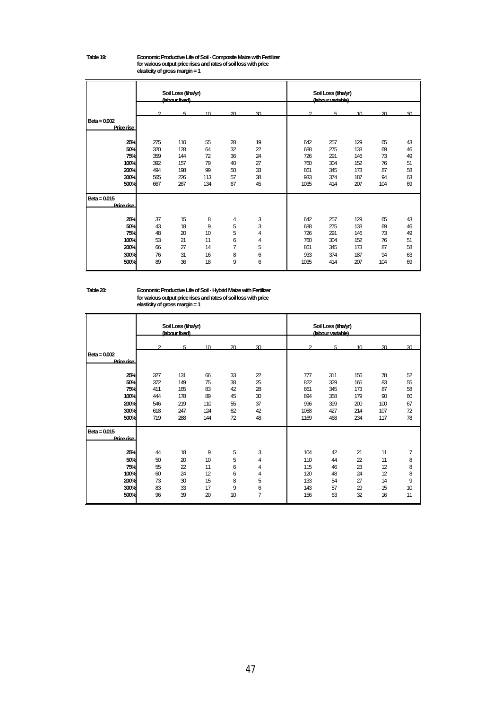#### **Table 19: Economic Productive Life of Soil - Composite Maize with Fertilizer for various output price rises and rates of soil loss with price**

**elasticity of gross margin = 1**

|                                                   |                                               | Soil Loss (t/ha/yr)<br>(labour fixed)         |                                          |                                        |                                                     |                                                | Soil Loss (thayr)<br>(labour variable)        |                                               |                                         |                                        |
|---------------------------------------------------|-----------------------------------------------|-----------------------------------------------|------------------------------------------|----------------------------------------|-----------------------------------------------------|------------------------------------------------|-----------------------------------------------|-----------------------------------------------|-----------------------------------------|----------------------------------------|
|                                                   |                                               | г.                                            | 10 <sup>10</sup>                         | $\infty$                               | 30                                                  |                                                | к                                             | 10 <sup>1</sup>                               | $\infty$                                | $\infty$                               |
| Beta = $0.002$<br>Price rise                      |                                               |                                               |                                          |                                        |                                                     |                                                |                                               |                                               |                                         |                                        |
| 25%<br>50%<br>75%<br>100%<br>200%<br>300%<br>500% | 275<br>320<br>359<br>392<br>494<br>565<br>667 | 110<br>128<br>144<br>157<br>198<br>226<br>267 | 55<br>64<br>72<br>79<br>99<br>113<br>134 | 28<br>32<br>36<br>40<br>50<br>57<br>67 | 19<br>$\overline{22}$<br>24<br>27<br>33<br>38<br>45 | 642<br>688<br>726<br>760<br>861<br>933<br>1035 | 257<br>275<br>291<br>304<br>345<br>374<br>414 | 129<br>138<br>146<br>152<br>173<br>187<br>207 | 65<br>69<br>73<br>76<br>87<br>94<br>104 | 43<br>46<br>49<br>51<br>58<br>63<br>69 |
| $Beta = 0.015$<br>Price rise                      |                                               |                                               |                                          |                                        |                                                     |                                                |                                               |                                               |                                         |                                        |
| 25%<br>50%<br>75%<br>100%<br>200%<br>300%<br>500% | 37<br>43<br>48<br>53<br>66<br>76<br>89        | 15<br>18<br>20<br>21<br>27<br>31<br>36        | 8<br>9<br>10<br>11<br>14<br>16<br>18     | 4<br>5<br>5<br>6<br>7<br>8<br>9        | 3<br>3<br>4<br>4<br>5<br>6<br>6                     | 642<br>688<br>726<br>760<br>861<br>933<br>1035 | 257<br>275<br>291<br>304<br>345<br>374<br>414 | 129<br>138<br>146<br>152<br>173<br>187<br>207 | 65<br>69<br>73<br>76<br>87<br>94<br>104 | 43<br>46<br>49<br>51<br>58<br>63<br>69 |

#### **Table 20: Economic Productive Life of Soil - Hybrid Maize with Fertilizer for various output price rises and rates of soil loss with price elasticity of gross margin = 1**

|                                     |     | Soil Loss (t/ha/yr)<br>(labour fixed) |                 |          |                | Soil Loss (t/ha/yr)<br>(labour variable) |     |                |          |          |
|-------------------------------------|-----|---------------------------------------|-----------------|----------|----------------|------------------------------------------|-----|----------------|----------|----------|
|                                     |     | ς                                     | 10 <sup>1</sup> | $\infty$ | $\infty$       | ົ                                        | π   | 1 <sub>0</sub> | $\infty$ | $\infty$ |
| $Beta = 0.002$<br><b>Price rise</b> |     |                                       |                 |          |                |                                          |     |                |          |          |
| 25%                                 | 327 | 131                                   | 66              | 33       | 22             | 777                                      | 311 | 156            | 78       | 52       |
| 50%                                 | 372 | 149                                   | 75              | 38       | 25             | 822                                      | 329 | 165            | 83       | 55       |
| 75%                                 | 411 | 165                                   | 83              | 42       | 28             | 861                                      | 345 | 173            | 87       | 58       |
| 100%                                | 444 | 178                                   | 89              | 45       | 30             | 894                                      | 358 | 179            | 90       | 60       |
| 200%                                | 546 | 219                                   | 110             | 55       | 37             | 996                                      | 399 | 200            | 100      | 67       |
| 300%                                | 618 | 247                                   | 124             | 62       | 42             | 1068                                     | 427 | 214            | 107      | 72       |
| 500%                                | 719 | 288                                   | 144             | 72       | 48             | 1169                                     | 468 | 234            | 117      | 78       |
| $Beta = 0.015$<br>Price rise        |     |                                       |                 |          |                |                                          |     |                |          |          |
| 25%                                 | 44  | 18                                    | 9               | 5        | 3              | 104                                      | 42  | 21             | 11       | 7        |
| 50%                                 | 50  | 20                                    | 10              | 5        | 4              | 110                                      | 44  | 22             | 11       | 8        |
| 75%                                 | 55  | $\overline{2}$                        | 11              | 6        | 4              | 115                                      | 46  | 23             | 12       | 8        |
| 100%                                | 60  | 24                                    | 12              | 6        | 4              | 120                                      | 48  | 24             | 12       | 8        |
| 200%                                | 73  | 30                                    | 15              | 8        | 5              | 133                                      | 54  | 27             | 14       | 9        |
| 300%                                | 83  | 33                                    | 17              | 9        | 6              | 143                                      | 57  | 29             | 15       | 10       |
| 500%                                | 96  | 39                                    | 20              | 10       | $\overline{7}$ | 156                                      | 63  | 32             | 16       | 11       |